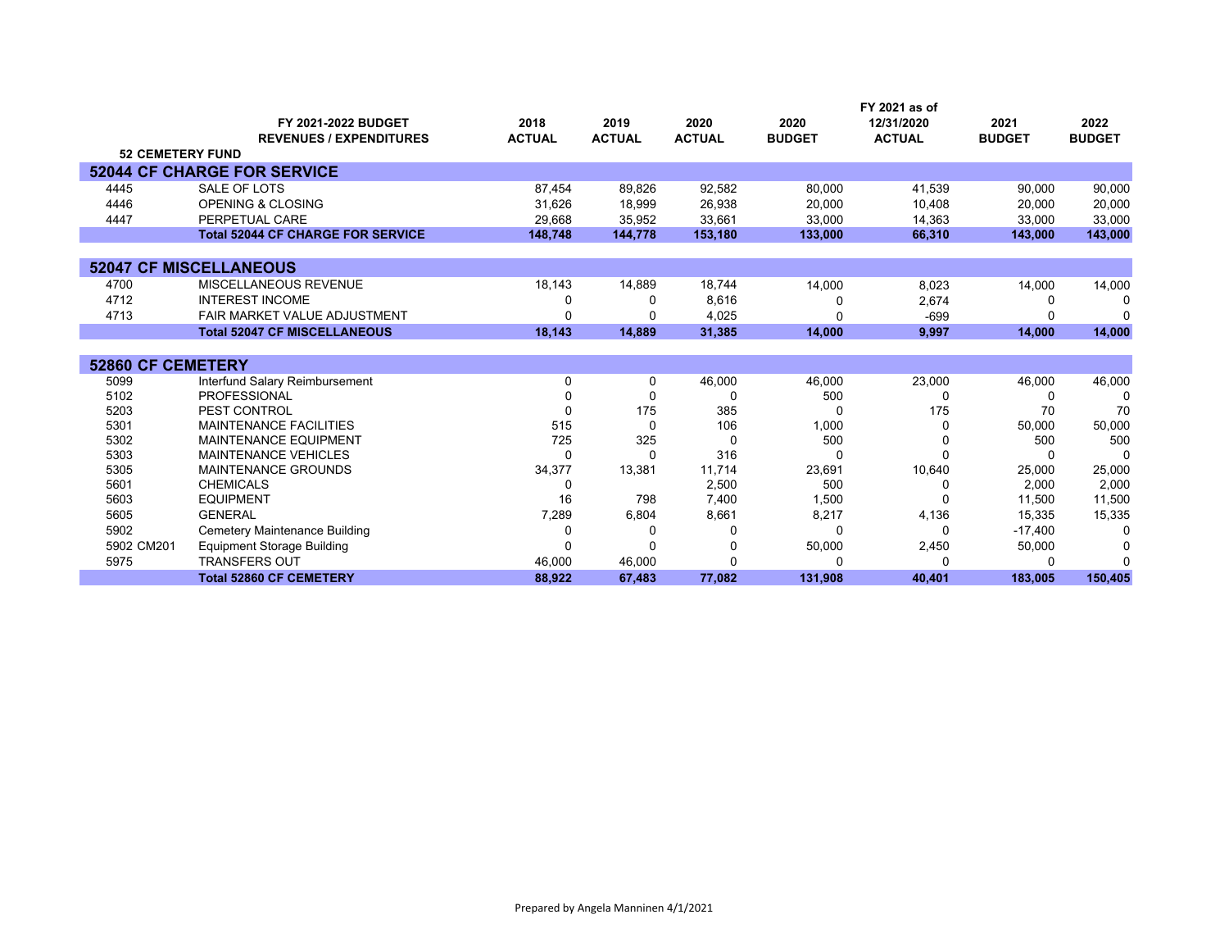|                          |                                          |               |               |               |               | FY 2021 as of |               |               |
|--------------------------|------------------------------------------|---------------|---------------|---------------|---------------|---------------|---------------|---------------|
|                          | FY 2021-2022 BUDGET                      | 2018          | 2019          | 2020          | 2020          | 12/31/2020    | 2021          | 2022          |
|                          | <b>REVENUES / EXPENDITURES</b>           | <b>ACTUAL</b> | <b>ACTUAL</b> | <b>ACTUAL</b> | <b>BUDGET</b> | <b>ACTUAL</b> | <b>BUDGET</b> | <b>BUDGET</b> |
| <b>52 CEMETERY FUND</b>  |                                          |               |               |               |               |               |               |               |
|                          | <b>52044 CF CHARGE FOR SERVICE</b>       |               |               |               |               |               |               |               |
| 4445                     | SALE OF LOTS                             | 87,454        | 89,826        | 92,582        | 80,000        | 41,539        | 90,000        | 90,000        |
| 4446                     | <b>OPENING &amp; CLOSING</b>             | 31,626        | 18,999        | 26,938        | 20,000        | 10,408        | 20,000        | 20,000        |
| 4447                     | PERPETUAL CARE                           | 29,668        | 35,952        | 33,661        | 33,000        | 14,363        | 33,000        | 33,000        |
|                          | <b>Total 52044 CF CHARGE FOR SERVICE</b> | 148.748       | 144.778       | 153,180       | 133,000       | 66,310        | 143,000       | 143,000       |
|                          |                                          |               |               |               |               |               |               |               |
|                          | <b>52047 CF MISCELLANEOUS</b>            |               |               |               |               |               |               |               |
| 4700                     | MISCELLANEOUS REVENUE                    | 18,143        | 14,889        | 18,744        | 14,000        | 8,023         | 14,000        | 14,000        |
| 4712                     | <b>INTEREST INCOME</b>                   |               | O             | 8,616         |               | 2,674         |               | n             |
| 4713                     | FAIR MARKET VALUE ADJUSTMENT             |               |               | 4,025         |               | $-699$        |               |               |
|                          | <b>Total 52047 CF MISCELLANEOUS</b>      | 18,143        | 14,889        | 31,385        | 14,000        | 9,997         | 14,000        | 14,000        |
|                          |                                          |               |               |               |               |               |               |               |
| <b>52860 CF CEMETERY</b> |                                          |               |               |               |               |               |               |               |
| 5099                     | Interfund Salary Reimbursement           | 0             | 0             | 46,000        | 46,000        | 23,000        | 46,000        | 46,000        |
| 5102                     | <b>PROFESSIONAL</b>                      |               | ŋ             | O             | 500           |               |               | 0             |
| 5203                     | PEST CONTROL                             | O             | 175           | 385           |               | 175           | 70            | 70            |
| 5301                     | <b>MAINTENANCE FACILITIES</b>            | 515           | $\Omega$      | 106           | 1,000         |               | 50,000        | 50,000        |
| 5302                     | <b>MAINTENANCE EQUIPMENT</b>             | 725           | 325           | O             | 500           |               | 500           | 500           |
| 5303                     | <b>MAINTENANCE VEHICLES</b>              | ∩             | O             | 316           |               |               |               | $\Omega$      |
| 5305                     | <b>MAINTENANCE GROUNDS</b>               | 34,377        | 13,381        | 11,714        | 23,691        | 10,640        | 25,000        | 25,000        |
| 5601                     | <b>CHEMICALS</b>                         | 0             |               | 2,500         | 500           |               | 2,000         | 2,000         |
| 5603                     | <b>EQUIPMENT</b>                         | 16            | 798           | 7,400         | 1,500         |               | 11,500        | 11,500        |
| 5605                     | <b>GENERAL</b>                           | 7,289         | 6,804         | 8,661         | 8,217         | 4,136         | 15,335        | 15,335        |
| 5902                     | Cemetery Maintenance Building            |               | O             | $\Omega$      |               | O             | $-17,400$     | $\Omega$      |
| 5902 CM201               | <b>Equipment Storage Building</b>        | ∩             | $\Omega$      | 0             | 50,000        | 2,450         | 50,000        | n             |
| 5975                     | <b>TRANSFERS OUT</b>                     | 46,000        | 46,000        | 0             |               |               |               | ∩             |
|                          | <b>Total 52860 CF CEMETERY</b>           | 88.922        | 67.483        | 77,082        | 131,908       | 40.401        | 183.005       | 150,405       |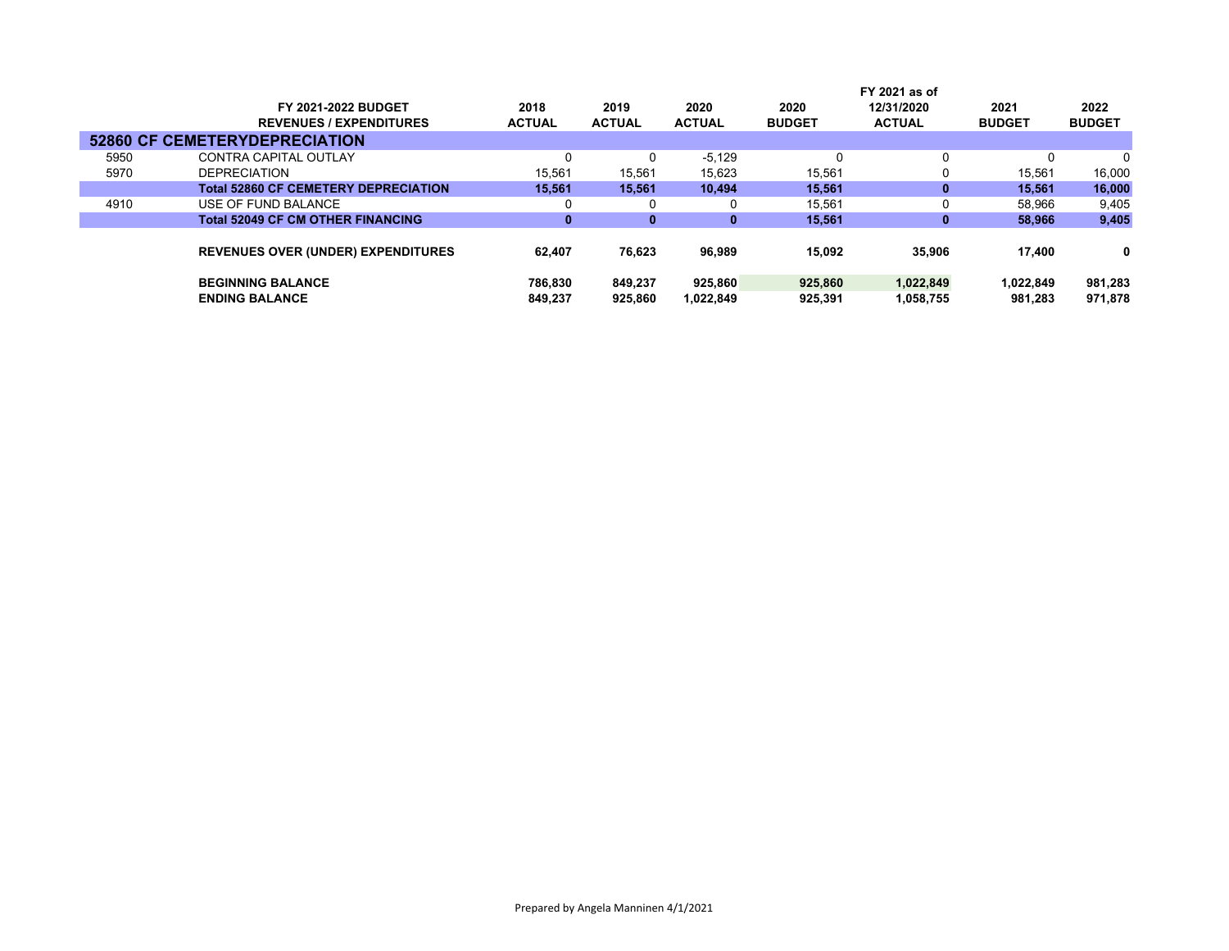|      |                                             |               |               |               |               | FY 2021 as of |               |               |
|------|---------------------------------------------|---------------|---------------|---------------|---------------|---------------|---------------|---------------|
|      | FY 2021-2022 BUDGET                         | 2018          | 2019          | 2020          | 2020          | 12/31/2020    | 2021          | 2022          |
|      | <b>REVENUES / EXPENDITURES</b>              | <b>ACTUAL</b> | <b>ACTUAL</b> | <b>ACTUAL</b> | <b>BUDGET</b> | <b>ACTUAL</b> | <b>BUDGET</b> | <b>BUDGET</b> |
|      | <b>52860 CF CEMETERYDEPRECIATION</b>        |               |               |               |               |               |               |               |
| 5950 | CONTRA CAPITAL OUTLAY                       | 0             | 0             | $-5,129$      | 0             | 0             |               |               |
| 5970 | <b>DEPRECIATION</b>                         | 15.561        | 15.561        | 15,623        | 15,561        | 0             | 15.561        | 16,000        |
|      | <b>Total 52860 CF CEMETERY DEPRECIATION</b> | 15.561        | 15.561        | 10.494        | 15.561        | $\bf{0}$      | 15.561        | 16,000        |
| 4910 | USE OF FUND BALANCE                         | 0             | 0             |               | 15,561        | 0             | 58,966        | 9,405         |
|      | <b>Total 52049 CF CM OTHER FINANCING</b>    | 0             | 0             | 0             | 15,561        | 0             | 58,966        | 9,405         |
|      |                                             |               |               |               |               |               |               |               |
|      | <b>REVENUES OVER (UNDER) EXPENDITURES</b>   | 62.407        | 76,623        | 96,989        | 15.092        | 35,906        | 17.400        | 0             |
|      |                                             |               |               |               |               |               |               |               |
|      | <b>BEGINNING BALANCE</b>                    | 786.830       | 849.237       | 925.860       | 925.860       | 1,022,849     | 1,022,849     | 981,283       |
|      | <b>ENDING BALANCE</b>                       | 849.237       | 925,860       | 1.022.849     | 925,391       | 1,058,755     | 981.283       | 971.878       |
|      |                                             |               |               |               |               |               |               |               |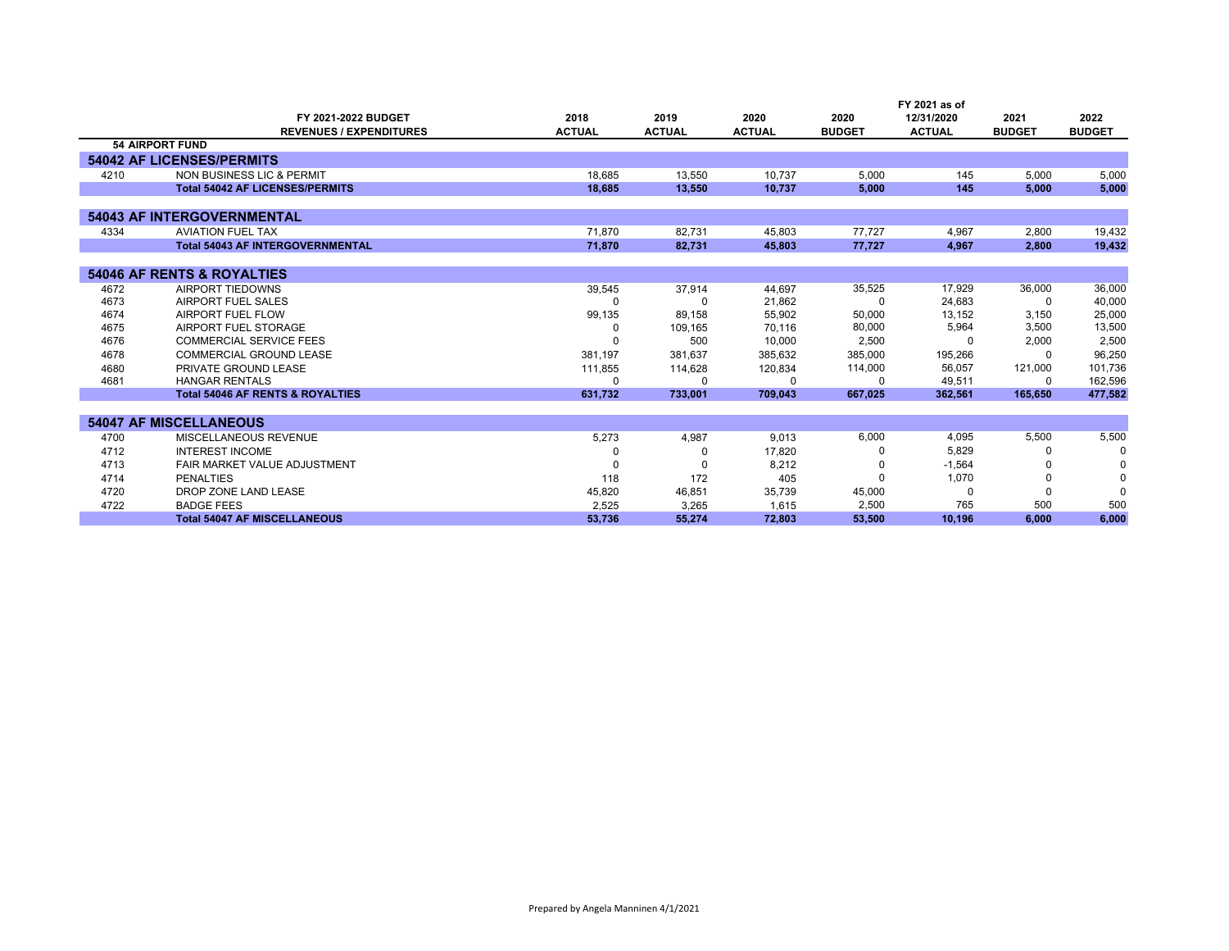|      |                                             |               |               |               |               | FY 2021 as of |               |               |
|------|---------------------------------------------|---------------|---------------|---------------|---------------|---------------|---------------|---------------|
|      | FY 2021-2022 BUDGET                         | 2018          | 2019          | 2020          | 2020          | 12/31/2020    | 2021          | 2022          |
|      | <b>REVENUES / EXPENDITURES</b>              | <b>ACTUAL</b> | <b>ACTUAL</b> | <b>ACTUAL</b> | <b>BUDGET</b> | <b>ACTUAL</b> | <b>BUDGET</b> | <b>BUDGET</b> |
|      | <b>54 AIRPORT FUND</b>                      |               |               |               |               |               |               |               |
|      | <b>54042 AF LICENSES/PERMITS</b>            |               |               |               |               |               |               |               |
| 4210 | NON BUSINESS LIC & PERMIT                   | 18,685        | 13.550        | 10.737        | 5.000         | 145           | 5,000         | 5,000         |
|      | <b>Total 54042 AF LICENSES/PERMITS</b>      | 18.685        | 13.550        | 10.737        | 5.000         | 145           | 5.000         | 5.000         |
|      |                                             |               |               |               |               |               |               |               |
|      | <b>54043 AF INTERGOVERNMENTAL</b>           |               |               |               |               |               |               |               |
| 4334 | <b>AVIATION FUEL TAX</b>                    | 71,870        | 82,731        | 45,803        | 77,727        | 4.967         | 2,800         | 19,432        |
|      | <b>Total 54043 AF INTERGOVERNMENTAL</b>     | 71,870        | 82,731        | 45,803        | 77,727        | 4,967         | 2,800         | 19,432        |
|      |                                             |               |               |               |               |               |               |               |
|      | <b>54046 AF RENTS &amp; ROYALTIES</b>       |               |               |               |               |               |               |               |
| 4672 | AIRPORT TIEDOWNS                            | 39,545        | 37.914        | 44.697        | 35,525        | 17,929        | 36,000        | 36,000        |
| 4673 | AIRPORT FUEL SALES                          |               | <sup>0</sup>  | 21,862        | $\Omega$      | 24,683        | O             | 40,000        |
| 4674 | AIRPORT FUEL FLOW                           | 99,135        | 89,158        | 55,902        | 50,000        | 13,152        | 3,150         | 25,000        |
| 4675 | AIRPORT FUEL STORAGE                        | <sup>0</sup>  | 109,165       | 70,116        | 80,000        | 5,964         | 3,500         | 13,500        |
| 4676 | <b>COMMERCIAL SERVICE FEES</b>              |               | 500           | 10.000        | 2,500         | n             | 2,000         | 2,500         |
| 4678 | COMMERCIAL GROUND LEASE                     | 381.197       | 381.637       | 385.632       | 385,000       | 195,266       |               | 96,250        |
| 4680 | PRIVATE GROUND LEASE                        | 111,855       | 114.628       | 120.834       | 114,000       | 56.057        | 121,000       | 101,736       |
| 4681 | <b>HANGAR RENTALS</b>                       | $\Omega$      | $\Omega$      |               | 0             | 49,511        | 0             | 162,596       |
|      | <b>Total 54046 AF RENTS &amp; ROYALTIES</b> | 631,732       | 733,001       | 709,043       | 667,025       | 362.561       | 165,650       | 477,582       |
|      |                                             |               |               |               |               |               |               |               |
|      | <b>54047 AF MISCELLANEOUS</b>               |               |               |               |               |               |               |               |
| 4700 | MISCELLANEOUS REVENUE                       | 5,273         | 4,987         | 9.013         | 6,000         | 4.095         | 5,500         | 5,500         |
| 4712 | <b>INTEREST INCOME</b>                      |               | 0             | 17,820        |               | 5,829         |               | $\Omega$      |
| 4713 | FAIR MARKET VALUE ADJUSTMENT                |               |               | 8,212         |               | $-1,564$      |               | 0             |
| 4714 | <b>PENALTIES</b>                            | 118           | 172           | 405           |               | 1,070         |               | $\Omega$      |
| 4720 | DROP ZONE LAND LEASE                        | 45,820        | 46,851        | 35,739        | 45,000        | O             |               |               |
| 4722 | <b>BADGE FEES</b>                           | 2,525         | 3,265         | 1.615         | 2,500         | 765           | 500           | 500           |
|      | <b>Total 54047 AF MISCELLANEOUS</b>         | 53.736        | 55.274        | 72.803        | 53.500        | 10.196        | 6.000         | 6.000         |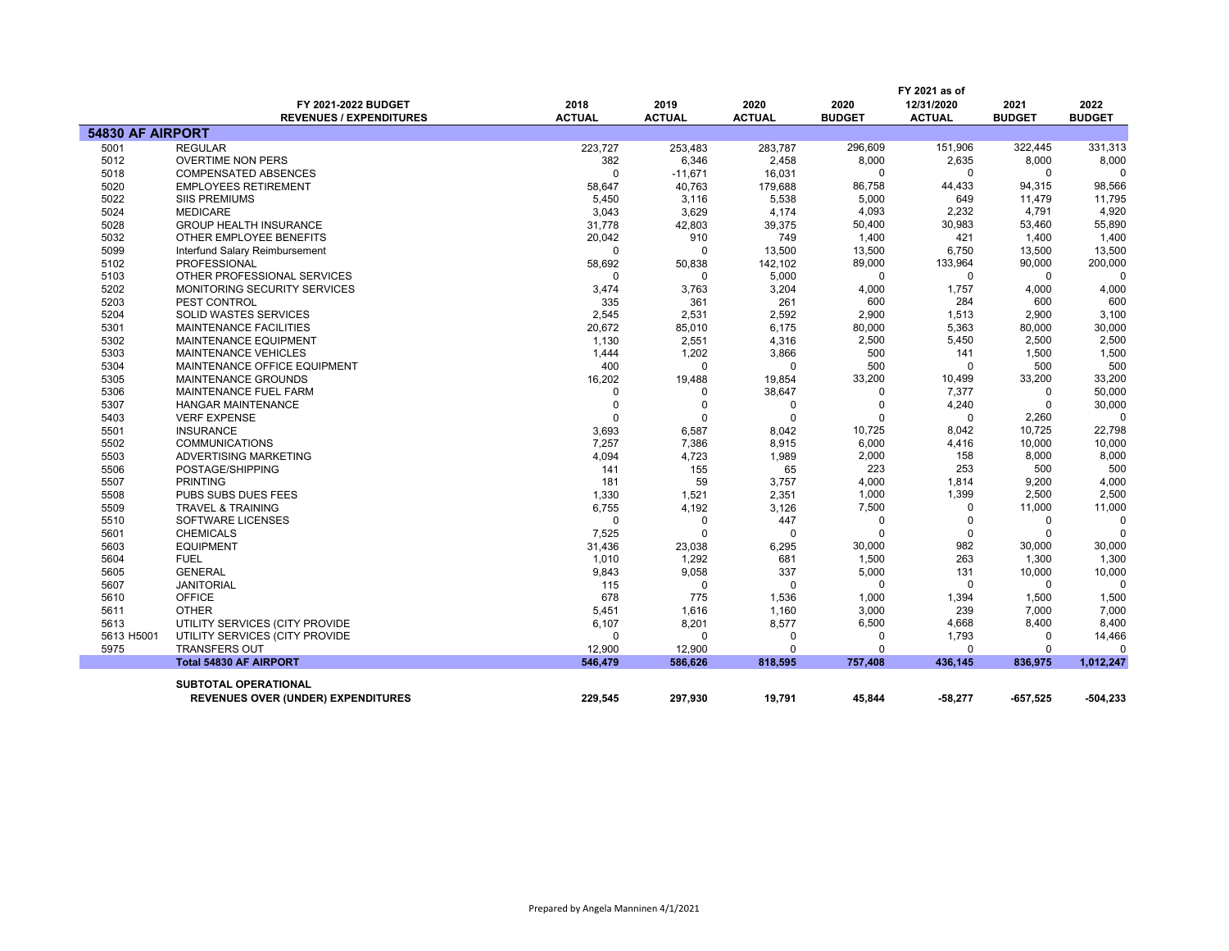|                  | FY 2021-2022 BUDGET<br><b>REVENUES / EXPENDITURES</b> | 2018<br><b>ACTUAL</b>   | 2019<br><b>ACTUAL</b>   | 2020<br><b>ACTUAL</b> | 2020<br><b>BUDGET</b> | FY 2021 as of<br>12/31/2020<br><b>ACTUAL</b> | 2021<br><b>BUDGET</b>   | 2022<br><b>BUDGET</b> |
|------------------|-------------------------------------------------------|-------------------------|-------------------------|-----------------------|-----------------------|----------------------------------------------|-------------------------|-----------------------|
| 54830 AF AIRPORT |                                                       |                         |                         |                       |                       |                                              |                         |                       |
| 5001             | <b>REGULAR</b>                                        | 223,727                 | 253,483                 | 283,787               | 296,609               | 151,906                                      | 322,445                 | 331,313               |
| 5012             | <b>OVERTIME NON PERS</b>                              | 382                     | 6,346                   | 2,458                 | 8,000                 | 2,635                                        | 8,000                   | 8,000                 |
| 5018             | <b>COMPENSATED ABSENCES</b>                           | $\Omega$                | $-11,671$               | 16,031                | $\Omega$              | 0                                            | 0                       |                       |
| 5020             | <b>EMPLOYEES RETIREMENT</b>                           | 58,647                  | 40,763                  | 179,688               | 86,758                | 44,433                                       | 94,315                  | 98,566                |
| 5022             | <b>SIIS PREMIUMS</b>                                  | 5,450                   | 3,116                   | 5,538                 | 5,000                 | 649                                          | 11,479                  | 11,795                |
| 5024             | <b>MEDICARE</b>                                       | 3,043                   | 3,629                   | 4,174                 | 4,093                 | 2,232                                        | 4,791                   | 4,920                 |
| 5028             | <b>GROUP HEALTH INSURANCE</b>                         | 31,778                  | 42,803                  | 39,375                | 50,400                | 30,983                                       | 53,460                  | 55,890                |
| 5032             | OTHER EMPLOYEE BENEFITS                               | 20,042                  | 910                     | 749                   | 1,400                 | 421                                          | 1,400                   | 1,400                 |
| 5099             | Interfund Salary Reimbursement                        | 0                       | O                       | 13,500                | 13,500                | 6,750                                        | 13,500                  | 13,500                |
| 5102             | <b>PROFESSIONAL</b>                                   | 58,692                  | 50,838                  | 142,102               | 89,000                | 133,964                                      | 90,000                  | 200,000               |
| 5103             | OTHER PROFESSIONAL SERVICES                           | $\Omega$                | 0                       | 5,000                 | 0                     | $\mathbf 0$                                  | $\mathbf 0$             |                       |
| 5202             | MONITORING SECURITY SERVICES                          | 3,474                   | 3,763                   | 3,204                 | 4,000                 | 1,757                                        | 4,000                   | 4,000                 |
| 5203             | PEST CONTROL                                          | 335                     | 361                     | 261                   | 600                   | 284                                          | 600                     | 600                   |
| 5204             | <b>SOLID WASTES SERVICES</b>                          | 2,545                   | 2,531                   | 2,592                 | 2,900                 | 1,513                                        | 2,900                   | 3,100                 |
| 5301             | <b>MAINTENANCE FACILITIES</b>                         | 20,672                  | 85,010                  | 6,175                 | 80,000                | 5,363                                        | 80,000                  | 30,000                |
| 5302             | MAINTENANCE EQUIPMENT                                 | 1,130                   | 2,551                   | 4,316                 | 2,500                 | 5,450                                        | 2,500                   | 2,500                 |
| 5303             | <b>MAINTENANCE VEHICLES</b>                           | 1,444                   | 1,202                   | 3,866                 | 500                   | 141                                          | 1,500                   | 1,500                 |
| 5304             | MAINTENANCE OFFICE EQUIPMENT                          | 400                     | $\Omega$                | $\Omega$              | 500                   | $\Omega$                                     | 500                     | 500                   |
| 5305             | MAINTENANCE GROUNDS                                   | 16,202                  | 19,488                  | 19,854                | 33,200<br>$\Omega$    | 10,499                                       | 33,200                  | 33,200                |
| 5306             | MAINTENANCE FUEL FARM                                 | $\Omega$<br>$\mathbf 0$ | 0                       | 38,647                | $\mathbf 0$           | 7,377<br>4,240                               | $\Omega$<br>$\mathbf 0$ | 50,000<br>30,000      |
| 5307             | <b>HANGAR MAINTENANCE</b>                             | $\Omega$                | $\mathbf 0$<br>$\Omega$ | 0<br>$\Omega$         | $\Omega$              | $\Omega$                                     |                         | $\Omega$              |
| 5403<br>5501     | <b>VERF EXPENSE</b><br><b>INSURANCE</b>               | 3,693                   | 6,587                   | 8,042                 | 10,725                | 8,042                                        | 2,260<br>10,725         | 22,798                |
| 5502             | <b>COMMUNICATIONS</b>                                 | 7,257                   | 7,386                   | 8,915                 | 6,000                 | 4,416                                        | 10,000                  | 10,000                |
| 5503             | ADVERTISING MARKETING                                 | 4,094                   | 4,723                   | 1,989                 | 2,000                 | 158                                          | 8,000                   | 8,000                 |
| 5506             | POSTAGE/SHIPPING                                      | 141                     | 155                     | 65                    | 223                   | 253                                          | 500                     | 500                   |
| 5507             | <b>PRINTING</b>                                       | 181                     | 59                      | 3,757                 | 4,000                 | 1,814                                        | 9,200                   | 4,000                 |
| 5508             | <b>PUBS SUBS DUES FEES</b>                            | 1,330                   | 1,521                   | 2,351                 | 1,000                 | 1,399                                        | 2,500                   | 2,500                 |
| 5509             | <b>TRAVEL &amp; TRAINING</b>                          | 6,755                   | 4,192                   | 3,126                 | 7,500                 | $\Omega$                                     | 11,000                  | 11,000                |
| 5510             | SOFTWARE LICENSES                                     | 0                       | 0                       | 447                   | $\Omega$              | $\Omega$                                     | 0                       | $\Omega$              |
| 5601             | <b>CHEMICALS</b>                                      | 7,525                   | $\Omega$                | $\Omega$              | $\Omega$              | $\Omega$                                     | $\Omega$                |                       |
| 5603             | <b>EQUIPMENT</b>                                      | 31,436                  | 23,038                  | 6,295                 | 30,000                | 982                                          | 30,000                  | 30,000                |
| 5604             | <b>FUEL</b>                                           | 1,010                   | 1,292                   | 681                   | 1,500                 | 263                                          | 1,300                   | 1,300                 |
| 5605             | <b>GENERAL</b>                                        | 9,843                   | 9,058                   | 337                   | 5,000                 | 131                                          | 10,000                  | 10,000                |
| 5607             | <b>JANITORIAL</b>                                     | 115                     | $\Omega$                | $\Omega$              | $\Omega$              | $\mathbf 0$                                  | $\mathbf 0$             | $\Omega$              |
| 5610             | <b>OFFICE</b>                                         | 678                     | 775                     | 1,536                 | 1,000                 | 1,394                                        | 1,500                   | 1,500                 |
| 5611             | <b>OTHER</b>                                          | 5,451                   | 1,616                   | 1,160                 | 3,000                 | 239                                          | 7,000                   | 7,000                 |
| 5613             | UTILITY SERVICES (CITY PROVIDE                        | 6,107                   | 8,201                   | 8,577                 | 6,500                 | 4,668                                        | 8,400                   | 8,400                 |
| 5613 H5001       | UTILITY SERVICES (CITY PROVIDE                        | $\Omega$                | $\Omega$                | $\Omega$              | $\Omega$              | 1,793                                        | 0                       | 14,466                |
| 5975             | <b>TRANSFERS OUT</b>                                  | 12,900                  | 12,900                  | $\Omega$              | 0                     | $\mathbf 0$                                  | $\Omega$                | $\Omega$              |
|                  | <b>Total 54830 AF AIRPORT</b>                         | 546,479                 | 586,626                 | 818,595               | 757,408               | 436,145                                      | 836,975                 | 1,012,247             |
|                  | <b>SUBTOTAL OPERATIONAL</b>                           |                         |                         |                       |                       |                                              |                         |                       |
|                  | <b>REVENUES OVER (UNDER) EXPENDITURES</b>             | 229,545                 | 297,930                 | 19,791                | 45,844                | -58,277                                      | $-657,525$              | -504,233              |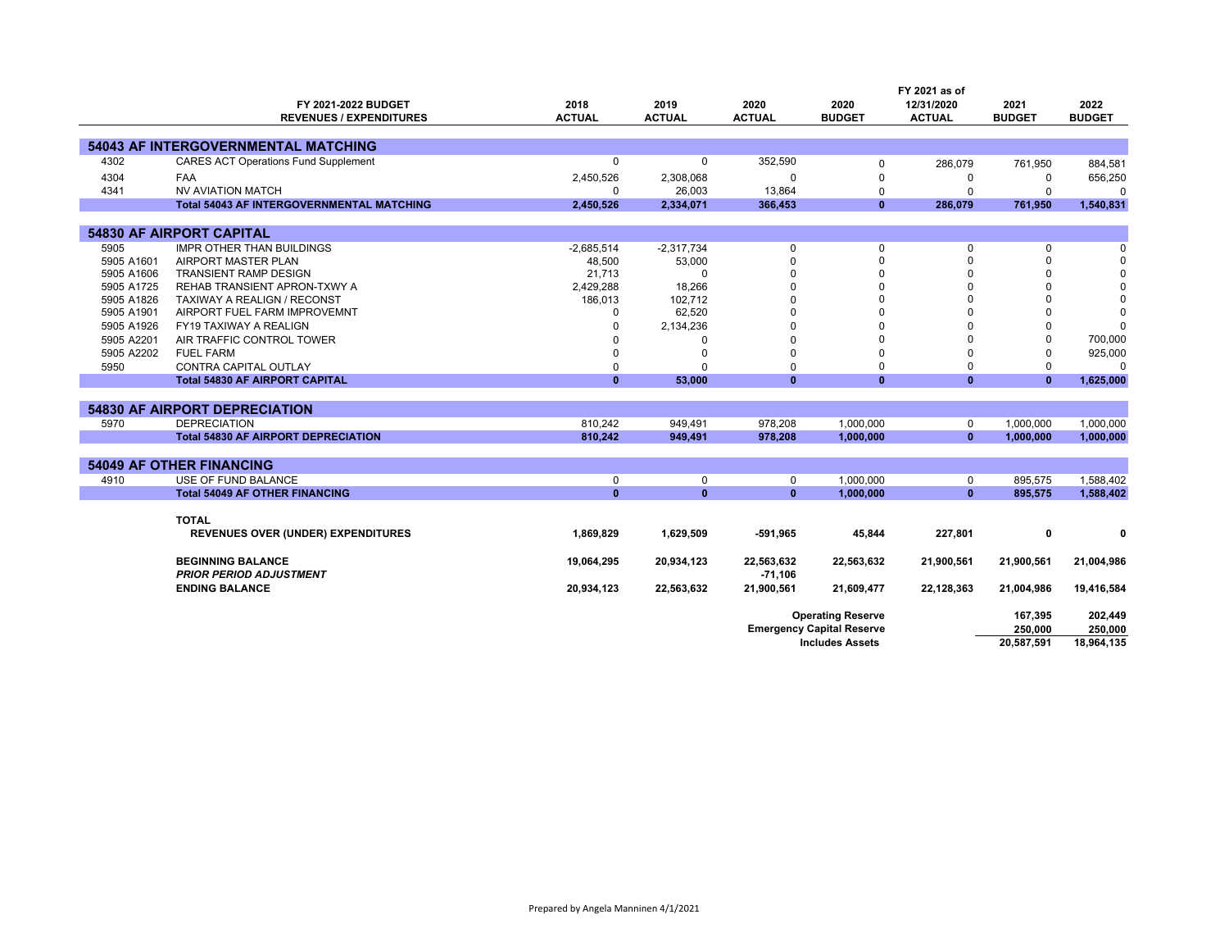|            |                                                  |               |               |               |                                  | FY 2021 as of |               |               |
|------------|--------------------------------------------------|---------------|---------------|---------------|----------------------------------|---------------|---------------|---------------|
|            | FY 2021-2022 BUDGET                              | 2018          | 2019          | 2020          | 2020                             | 12/31/2020    | 2021          | 2022          |
|            | <b>REVENUES / EXPENDITURES</b>                   | <b>ACTUAL</b> | <b>ACTUAL</b> | <b>ACTUAL</b> | <b>BUDGET</b>                    | <b>ACTUAL</b> | <b>BUDGET</b> | <b>BUDGET</b> |
|            |                                                  |               |               |               |                                  |               |               |               |
|            | <b>54043 AF INTERGOVERNMENTAL MATCHING</b>       |               |               |               |                                  |               |               |               |
| 4302       | <b>CARES ACT Operations Fund Supplement</b>      | 0             | 0             | 352,590       | 0                                | 286,079       | 761,950       | 884,581       |
| 4304       | <b>FAA</b>                                       | 2,450,526     | 2,308,068     | $\Omega$      | $\Omega$                         | 0             | $\Omega$      | 656,250       |
| 4341       | <b>NV AVIATION MATCH</b>                         | 0             | 26,003        | 13,864        | $\mathbf 0$                      | $\Omega$      | $\Omega$      | $\Omega$      |
|            | <b>Total 54043 AF INTERGOVERNMENTAL MATCHING</b> | 2,450,526     | 2,334,071     | 366,453       | $\mathbf{0}$                     | 286,079       | 761,950       | 1,540,831     |
|            |                                                  |               |               |               |                                  |               |               |               |
|            | <b>54830 AF AIRPORT CAPITAL</b>                  |               |               |               |                                  |               |               |               |
| 5905       | <b>IMPR OTHER THAN BUILDINGS</b>                 | $-2,685,514$  | $-2.317.734$  | 0             | $\mathbf 0$                      | 0             | 0             | $\Omega$      |
| 5905 A1601 | AIRPORT MASTER PLAN                              | 48,500        | 53,000        | $\Omega$      | $\mathbf 0$                      | $\Omega$      | $\mathbf 0$   | $\Omega$      |
| 5905 A1606 | <b>TRANSIENT RAMP DESIGN</b>                     | 21,713        | 0             |               | $\Omega$                         | $\Omega$      | 0             | 0             |
| 5905 A1725 | REHAB TRANSIENT APRON-TXWY A                     | 2,429,288     | 18,266        |               | $\Omega$                         | $\Omega$      | 0             | $\Omega$      |
| 5905 A1826 | TAXIWAY A REALIGN / RECONST                      | 186,013       | 102,712       | $\Omega$      | $\Omega$                         | $\Omega$      | 0             | $\Omega$      |
| 5905 A1901 | AIRPORT FUEL FARM IMPROVEMNT                     | $\Omega$      | 62,520        |               | $\Omega$                         | 0             | 0             | $\Omega$      |
| 5905 A1926 | FY19 TAXIWAY A REALIGN                           | $\Omega$      | 2,134,236     |               |                                  | 0             | 0             | $\Omega$      |
| 5905 A2201 | AIR TRAFFIC CONTROL TOWER                        |               | $\Omega$      |               | $\Omega$                         | $\Omega$      | $\Omega$      | 700,000       |
| 5905 A2202 | <b>FUEL FARM</b>                                 | $\Omega$      | $\mathbf 0$   | $\Omega$      | $\Omega$                         | $\Omega$      | $\Omega$      | 925,000       |
| 5950       | <b>CONTRA CAPITAL OUTLAY</b>                     | 0             | $\Omega$      | $\Omega$      | $\mathbf 0$                      | $\Omega$      | 0             | $\Omega$      |
|            | <b>Total 54830 AF AIRPORT CAPITAL</b>            | $\mathbf{0}$  | 53,000        | $\mathbf{0}$  | $\mathbf{0}$                     | $\mathbf{0}$  | $\mathbf{0}$  | 1,625,000     |
|            |                                                  |               |               |               |                                  |               |               |               |
|            | <b>54830 AF AIRPORT DEPRECIATION</b>             |               |               |               |                                  |               |               |               |
| 5970       | <b>DEPRECIATION</b>                              | 810,242       | 949,491       | 978,208       | 1,000,000                        | $\mathbf 0$   | 1,000,000     | 1,000,000     |
|            | <b>Total 54830 AF AIRPORT DEPRECIATION</b>       | 810,242       | 949,491       | 978,208       | 1,000,000                        | $\mathbf{0}$  | 1,000,000     | 1,000,000     |
|            |                                                  |               |               |               |                                  |               |               |               |
|            | <b>54049 AF OTHER FINANCING</b>                  |               |               |               |                                  |               |               |               |
| 4910       | USE OF FUND BALANCE                              | 0             | $\mathbf 0$   | 0             | 1.000.000                        | $\mathbf 0$   | 895.575       | 1.588.402     |
|            | <b>Total 54049 AF OTHER FINANCING</b>            | $\mathbf{0}$  | $\mathbf{0}$  | $\mathbf{0}$  | 1,000,000                        | $\mathbf{0}$  | 895,575       | 1,588,402     |
|            |                                                  |               |               |               |                                  |               |               |               |
|            | <b>TOTAL</b>                                     |               |               |               |                                  |               |               |               |
|            | <b>REVENUES OVER (UNDER) EXPENDITURES</b>        | 1,869,829     | 1,629,509     | $-591,965$    | 45,844                           | 227,801       | 0             | $\mathbf{0}$  |
|            |                                                  |               |               |               |                                  |               |               |               |
|            | <b>BEGINNING BALANCE</b>                         | 19,064,295    | 20,934,123    | 22,563,632    | 22,563,632                       | 21,900,561    | 21,900,561    | 21,004,986    |
|            | <b>PRIOR PERIOD ADJUSTMENT</b>                   |               |               | $-71,106$     |                                  |               |               |               |
|            | <b>ENDING BALANCE</b>                            | 20,934,123    | 22,563,632    | 21,900,561    | 21,609,477                       | 22,128,363    | 21,004,986    | 19,416,584    |
|            |                                                  |               |               |               |                                  |               |               |               |
|            |                                                  |               |               |               | <b>Operating Reserve</b>         |               | 167,395       | 202,449       |
|            |                                                  |               |               |               | <b>Emergency Capital Reserve</b> |               | 250,000       | 250,000       |
|            |                                                  |               |               |               | <b>Includes Assets</b>           |               | 20,587,591    | 18,964,135    |
|            |                                                  |               |               |               |                                  |               |               |               |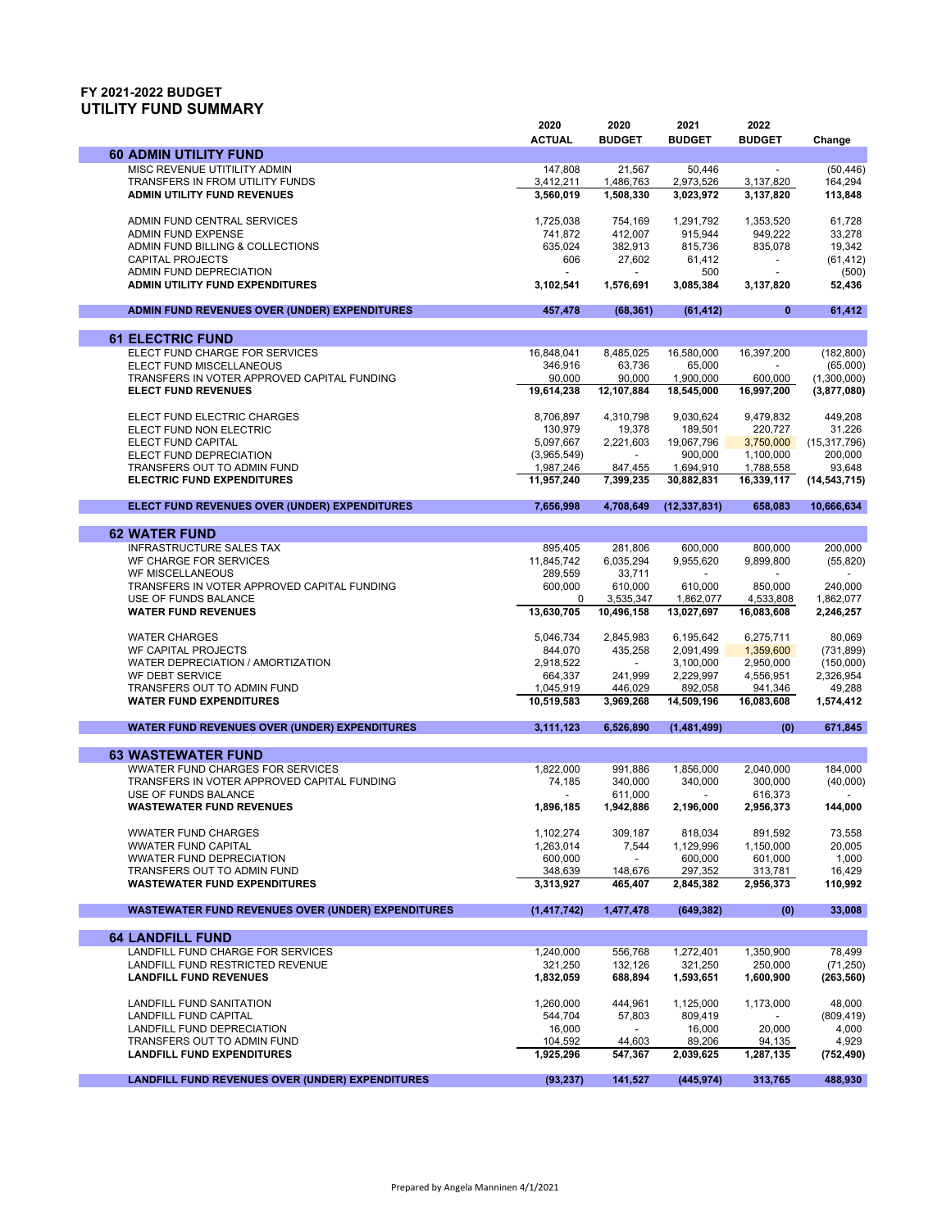## **FY 2021-2022 BUDGET UTILITY FUND SUMMARY**

|                                                                     | 2020                 | 2020                 | 2021                   | 2022                   |                        |
|---------------------------------------------------------------------|----------------------|----------------------|------------------------|------------------------|------------------------|
|                                                                     | <b>ACTUAL</b>        | <b>BUDGET</b>        | <b>BUDGET</b>          | <b>BUDGET</b>          | Change                 |
| <b>60 ADMIN UTILITY FUND</b><br>MISC REVENUE UTITILITY ADMIN        | 147.808              |                      | 50,446                 |                        | (50.446)               |
| TRANSFERS IN FROM UTILITY FUNDS                                     | 3,412,211            | 21,567<br>1,486,763  | 2,973,526              | 3,137,820              | 164,294                |
| <b>ADMIN UTILITY FUND REVENUES</b>                                  | 3,560,019            | 1,508,330            | 3,023,972              | 3,137,820              | 113,848                |
|                                                                     |                      |                      |                        |                        |                        |
| ADMIN FUND CENTRAL SERVICES                                         | 1.725.038            | 754,169              | 1.291.792              | 1,353,520              | 61,728                 |
| <b>ADMIN FUND EXPENSE</b>                                           | 741,872              | 412,007              | 915,944                | 949,222                | 33,278                 |
| ADMIN FUND BILLING & COLLECTIONS                                    | 635,024              | 382,913              | 815,736                | 835,078                | 19,342                 |
| <b>CAPITAL PROJECTS</b><br>ADMIN FUND DEPRECIATION                  | 606                  | 27,602               | 61,412<br>500          | $\blacksquare$         | (61, 412)<br>(500)     |
| ADMIN UTILITY FUND EXPENDITURES                                     | 3,102,541            | 1,576,691            | 3,085,384              | 3,137,820              | 52,436                 |
|                                                                     |                      |                      |                        |                        |                        |
| ADMIN FUND REVENUES OVER (UNDER) EXPENDITURES                       | 457,478              | (68, 361)            | (61, 412)              | 0                      | 61,412                 |
| <b>61 ELECTRIC FUND</b>                                             |                      |                      |                        |                        |                        |
| ELECT FUND CHARGE FOR SERVICES                                      | 16,848,041           | 8,485,025            | 16,580,000             | 16,397,200             | (182, 800)             |
| ELECT FUND MISCELLANEOUS                                            | 346,916              | 63,736               | 65,000                 |                        | (65,000)               |
| TRANSFERS IN VOTER APPROVED CAPITAL FUNDING                         | 90,000               | 90,000               | 1,900,000              | 600,000                | (1,300,000)            |
| <b>ELECT FUND REVENUES</b>                                          | 19,614,238           | 12,107,884           | 18,545,000             | 16,997,200             | (3,877,080)            |
|                                                                     |                      |                      |                        |                        |                        |
| ELECT FUND ELECTRIC CHARGES<br>ELECT FUND NON ELECTRIC              | 8,706,897<br>130,979 | 4,310,798<br>19,378  | 9,030,624<br>189,501   | 9,479,832<br>220,727   | 449,208<br>31,226      |
| ELECT FUND CAPITAL                                                  | 5,097,667            | 2,221,603            | 19,067,796             | 3,750,000              | (15, 317, 796)         |
| ELECT FUND DEPRECIATION                                             | (3,965,549)          |                      | 900.000                | 1,100,000              | 200,000                |
| TRANSFERS OUT TO ADMIN FUND                                         | 1,987,246            | 847,455              | 1,694,910              | 1,788,558              | 93,648                 |
| <b>ELECTRIC FUND EXPENDITURES</b>                                   | 11,957,240           | 7,399,235            | 30,882,831             | 16,339,117             | (14, 543, 715)         |
| ELECT FUND REVENUES OVER (UNDER) EXPENDITURES                       | 7,656,998            | 4,708,649            | (12, 337, 831)         | 658,083                | 10,666,634             |
|                                                                     |                      |                      |                        |                        |                        |
| <b>62 WATER FUND</b>                                                |                      |                      |                        |                        |                        |
| <b>INFRASTRUCTURE SALES TAX</b>                                     | 895,405              | 281.806              | 600,000                | 800,000                | 200,000                |
| WF CHARGE FOR SERVICES                                              | 11,845,742           | 6,035,294            | 9,955,620              | 9,899,800              | (55, 820)              |
| <b>WF MISCELLANEOUS</b>                                             | 289,559              | 33,711               |                        |                        |                        |
| TRANSFERS IN VOTER APPROVED CAPITAL FUNDING<br>USE OF FUNDS BALANCE | 600,000<br>0         | 610,000<br>3,535,347 | 610,000<br>1,862,077   | 850,000<br>4,533,808   | 240,000<br>1,862,077   |
| <b>WATER FUND REVENUES</b>                                          | 13,630,705           | 10,496,158           | 13,027,697             | 16,083,608             | 2,246,257              |
|                                                                     |                      |                      |                        |                        |                        |
| <b>WATER CHARGES</b>                                                | 5,046,734            | 2,845,983            | 6,195,642              | 6,275,711              | 80,069                 |
| WF CAPITAL PROJECTS                                                 | 844,070              | 435,258              | 2,091,499              | 1,359,600              | (731, 899)             |
| WATER DEPRECIATION / AMORTIZATION<br>WF DEBT SERVICE                | 2,918,522<br>664,337 | 241,999              | 3,100,000<br>2,229,997 | 2,950,000<br>4,556,951 | (150,000)<br>2,326,954 |
| TRANSFERS OUT TO ADMIN FUND                                         | 1,045,919            | 446,029              | 892,058                | 941,346                | 49,288                 |
| <b>WATER FUND EXPENDITURES</b>                                      | 10,519,583           | 3,969,268            | 14,509,196             | 16,083,608             | 1,574,412              |
| <b>WATER FUND REVENUES OVER (UNDER) EXPENDITURES</b>                | 3,111,123            | 6,526,890            | (1,481,499)            | (0)                    | 671,845                |
|                                                                     |                      |                      |                        |                        |                        |
| <b>63 WASTEWATER FUND</b>                                           |                      |                      |                        |                        |                        |
| <b>WWATER FUND CHARGES FOR SERVICES</b>                             | 1,822,000            | 991,886              | 1,856,000              | 2,040,000              | 184,000                |
| TRANSFERS IN VOTER APPROVED CAPITAL FUNDING                         | 74,185               | 340,000              | 340,000                | 300,000                | (40,000)               |
| <b>USE OF FUNDS BALANCE</b><br><b>WASTEWATER FUND REVENUES</b>      | $\overline{a}$       | 611.000              |                        | 616,373                |                        |
|                                                                     | 1,896,185            | 1,942,886            | 2,196,000              | 2,956,373              | 144,000                |
| <b>WWATER FUND CHARGES</b>                                          | 1,102,274            | 309,187              | 818,034                | 891,592                | 73,558                 |
| <b>WWATER FUND CAPITAL</b>                                          | 1,263,014            | 7,544                | 1,129,996              | 1.150.000              | 20,005                 |
| <b>WWATER FUND DEPRECIATION</b>                                     | 600,000              |                      | 600,000                | 601,000                | 1,000                  |
| TRANSFERS OUT TO ADMIN FUND                                         | 348,639              | 148,676              | 297,352                | 313,781                | 16,429                 |
| <b>WASTEWATER FUND EXPENDITURES</b>                                 | 3,313,927            | 465,407              | 2,845,382              | 2,956,373              | 110,992                |
| <b>WASTEWATER FUND REVENUES OVER (UNDER) EXPENDITURES</b>           | (1, 417, 742)        | 1,477,478            | (649, 382)             | (0)                    | 33,008                 |
|                                                                     |                      |                      |                        |                        |                        |
| <b>64 LANDFILL FUND</b><br>LANDFILL FUND CHARGE FOR SERVICES        |                      |                      |                        | 1,350,900              | 78,499                 |
| LANDFILL FUND RESTRICTED REVENUE                                    | 1,240,000<br>321,250 | 556,768<br>132,126   | 1,272,401<br>321,250   | 250,000                | (71, 250)              |
| <b>LANDFILL FUND REVENUES</b>                                       | 1,832,059            | 688,894              | 1,593,651              | 1,600,900              | (263, 560)             |
|                                                                     |                      |                      |                        |                        |                        |
| <b>LANDFILL FUND SANITATION</b>                                     | 1,260,000            | 444.961              | 1,125,000              | 1,173,000              | 48,000                 |
| LANDFILL FUND CAPITAL                                               | 544,704              | 57,803               | 809,419                |                        | (809, 419)             |
| LANDFILL FUND DEPRECIATION<br>TRANSFERS OUT TO ADMIN FUND           | 16,000<br>104,592    | 44,603               | 16,000<br>89,206       | 20,000<br>94,135       | 4,000<br>4,929         |
| <b>LANDFILL FUND EXPENDITURES</b>                                   | 1,925,296            | 547,367              | 2,039,625              | 1,287,135              | (752, 490)             |
|                                                                     |                      |                      |                        |                        |                        |
| <b>LANDFILL FUND REVENUES OVER (UNDER) EXPENDITURES</b>             | (93, 237)            | 141,527              | (445, 974)             | 313,765                | 488,930                |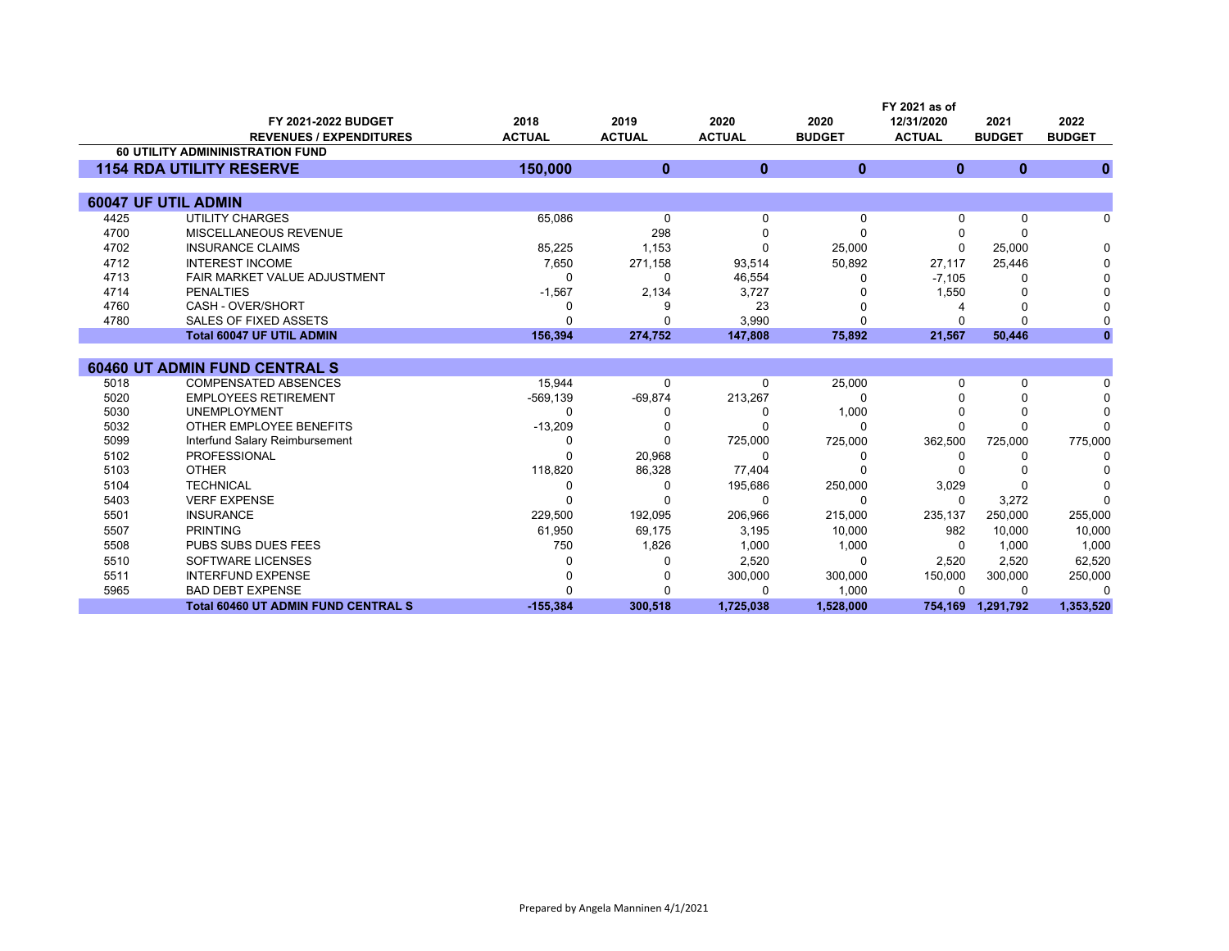|      |                                                       |                       |                       |                       |                       | FY 2021 as of               |                       |                       |
|------|-------------------------------------------------------|-----------------------|-----------------------|-----------------------|-----------------------|-----------------------------|-----------------------|-----------------------|
|      | FY 2021-2022 BUDGET<br><b>REVENUES / EXPENDITURES</b> | 2018<br><b>ACTUAL</b> | 2019<br><b>ACTUAL</b> | 2020<br><b>ACTUAL</b> | 2020<br><b>BUDGET</b> | 12/31/2020<br><b>ACTUAL</b> | 2021<br><b>BUDGET</b> | 2022<br><b>BUDGET</b> |
|      | <b>60 UTILITY ADMININISTRATION FUND</b>               |                       |                       |                       |                       |                             |                       |                       |
|      | <b>1154 RDA UTILITY RESERVE</b>                       | 150,000               | $\mathbf{0}$          | $\mathbf{0}$          | $\mathbf{0}$          | $\mathbf{0}$                | $\bf{0}$              | $\bf{0}$              |
|      |                                                       |                       |                       |                       |                       |                             |                       |                       |
|      | 60047 UF UTIL ADMIN                                   |                       |                       |                       |                       |                             |                       |                       |
| 4425 | <b>UTILITY CHARGES</b>                                | 65,086                | 0                     | $\Omega$              | $\Omega$              | 0                           | 0                     | 0                     |
| 4700 | MISCELLANEOUS REVENUE                                 |                       | 298                   | n                     | $\Omega$              |                             | 0                     |                       |
| 4702 | <b>INSURANCE CLAIMS</b>                               | 85,225                | 1,153                 | ∩                     | 25,000                | 0                           | 25,000                | $\Omega$              |
| 4712 | <b>INTEREST INCOME</b>                                | 7,650                 | 271,158               | 93,514                | 50,892                | 27,117                      | 25,446                |                       |
| 4713 | FAIR MARKET VALUE ADJUSTMENT                          | $\Omega$              | ∩                     | 46,554                |                       | $-7,105$                    | 0                     |                       |
| 4714 | <b>PENALTIES</b>                                      | $-1,567$              | 2,134                 | 3,727                 |                       | 1,550                       | 0                     |                       |
| 4760 | CASH - OVER/SHORT                                     | ŋ                     |                       | 23                    |                       |                             | 0                     |                       |
| 4780 | <b>SALES OF FIXED ASSETS</b>                          | O                     |                       | 3,990                 |                       | U                           | $\Omega$              |                       |
|      | <b>Total 60047 UF UTIL ADMIN</b>                      | 156,394               | 274,752               | 147,808               | 75,892                | 21,567                      | 50,446                |                       |
|      |                                                       |                       |                       |                       |                       |                             |                       |                       |
|      | <b>60460 UT ADMIN FUND CENTRAL S</b>                  |                       |                       |                       |                       |                             |                       |                       |
| 5018 | <b>COMPENSATED ABSENCES</b>                           | 15,944                | $\Omega$              | $\Omega$              | 25,000                | U                           | 0                     | n                     |
| 5020 | <b>EMPLOYEES RETIREMENT</b>                           | $-569, 139$           | $-69,874$             | 213,267               | ∩                     |                             | $\Omega$              |                       |
| 5030 | <b>UNEMPLOYMENT</b>                                   |                       |                       |                       | 1,000                 |                             | 0                     | $\Omega$              |
| 5032 | OTHER EMPLOYEE BENEFITS                               | $-13,209$             |                       |                       | ∩                     |                             | $\Omega$              |                       |
| 5099 | Interfund Salary Reimbursement                        | O                     | ∩                     | 725,000               | 725,000               | 362,500                     | 725,000               | 775,000               |
| 5102 | <b>PROFESSIONAL</b>                                   | ∩                     | 20,968                | $\Omega$              | 0                     | 0                           | 0                     | <sup>0</sup>          |
| 5103 | <b>OTHER</b>                                          | 118,820               | 86,328                | 77,404                |                       |                             |                       |                       |
| 5104 | <b>TECHNICAL</b>                                      | O                     | ∩                     | 195,686               | 250,000               | 3,029                       | 0                     |                       |
| 5403 | <b>VERF EXPENSE</b>                                   | O                     |                       | $\Omega$              | ∩                     | $\Omega$                    | 3,272                 | ∩                     |
| 5501 | <b>INSURANCE</b>                                      | 229,500               | 192,095               | 206,966               | 215,000               | 235,137                     | 250,000               | 255,000               |
| 5507 | <b>PRINTING</b>                                       | 61,950                | 69,175                | 3,195                 | 10,000                | 982                         | 10,000                | 10,000                |
| 5508 | <b>PUBS SUBS DUES FEES</b>                            | 750                   | 1,826                 | 1,000                 | 1,000                 | $\Omega$                    | 1,000                 | 1,000                 |
| 5510 | SOFTWARE LICENSES                                     |                       |                       | 2,520                 | $\Omega$              | 2,520                       | 2,520                 | 62,520                |
| 5511 | <b>INTERFUND EXPENSE</b>                              |                       |                       | 300,000               | 300,000               | 150,000                     | 300,000               | 250,000               |
| 5965 | <b>BAD DEBT EXPENSE</b>                               |                       |                       | ∩                     | 1,000                 | 0                           | 0                     | $\Omega$              |
|      | <b>Total 60460 UT ADMIN FUND CENTRAL S</b>            | $-155,384$            | 300,518               | 1,725,038             | 1,528,000             | 754,169                     | 1,291,792             | 1,353,520             |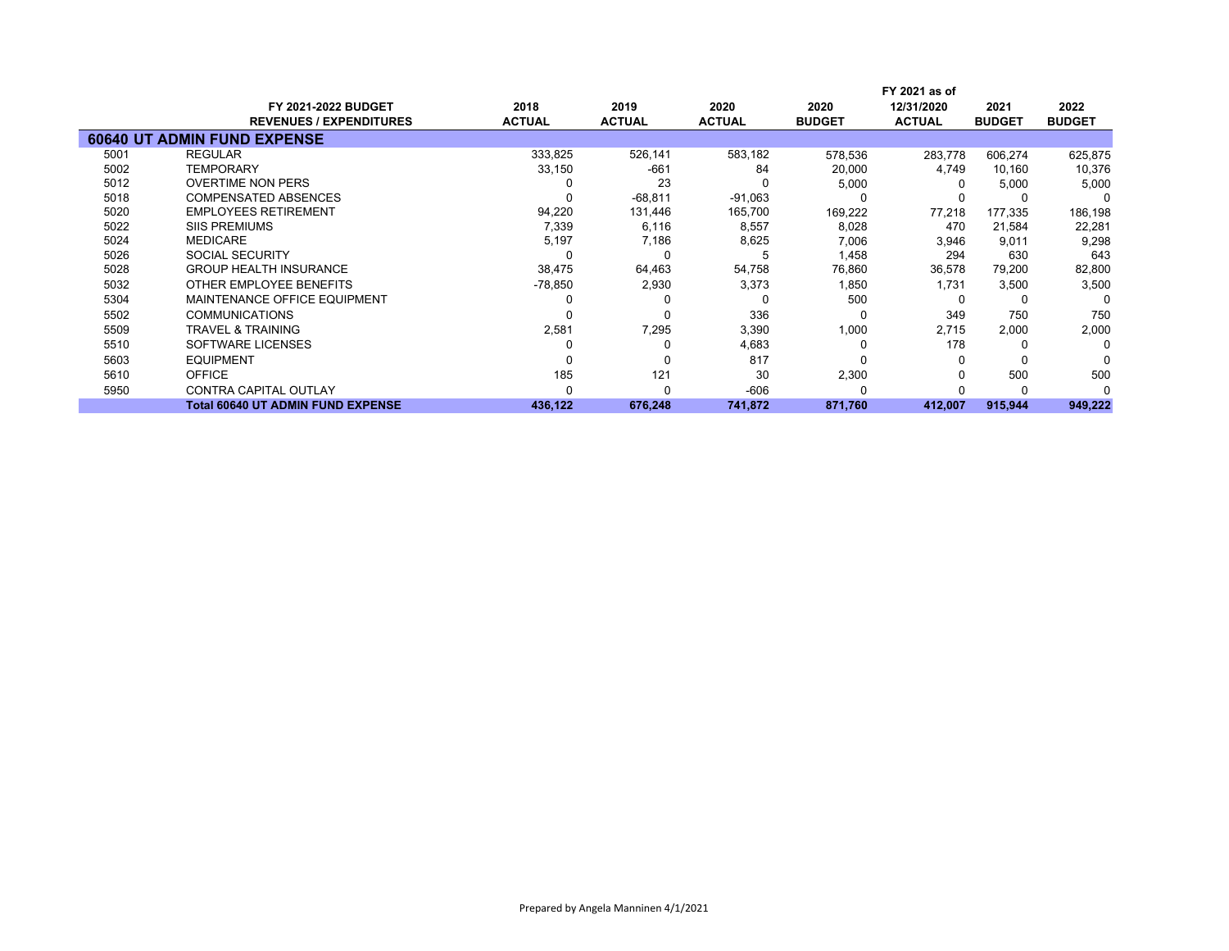|      |                                          |               |               |               |               | FY 2021 as of |               |               |  |
|------|------------------------------------------|---------------|---------------|---------------|---------------|---------------|---------------|---------------|--|
|      | <b>FY 2021-2022 BUDGET</b>               | 2018          | 2019          | 2020          | 2020          | 12/31/2020    | 2021          | 2022          |  |
|      | <b>REVENUES / EXPENDITURES</b>           | <b>ACTUAL</b> | <b>ACTUAL</b> | <b>ACTUAL</b> | <b>BUDGET</b> | <b>ACTUAL</b> | <b>BUDGET</b> | <b>BUDGET</b> |  |
|      | <b>60640 UT ADMIN FUND EXPENSE</b>       |               |               |               |               |               |               |               |  |
| 5001 | <b>REGULAR</b>                           | 333,825       | 526,141       | 583,182       | 578,536       | 283.778       | 606,274       | 625,875       |  |
| 5002 | <b>TEMPORARY</b>                         | 33,150        | $-661$        | 84            | 20,000        | 4,749         | 10,160        | 10,376        |  |
| 5012 | <b>OVERTIME NON PERS</b>                 |               | 23            |               | 5,000         |               | 5,000         | 5,000         |  |
| 5018 | <b>COMPENSATED ABSENCES</b>              |               | $-68,811$     | $-91,063$     |               |               |               | n             |  |
| 5020 | <b>EMPLOYEES RETIREMENT</b>              | 94,220        | 131,446       | 165,700       | 169,222       | 77,218        | 177,335       | 186,198       |  |
| 5022 | <b>SIIS PREMIUMS</b>                     | 7,339         | 6,116         | 8,557         | 8,028         | 470           | 21,584        | 22,281        |  |
| 5024 | <b>MEDICARE</b>                          | 5,197         | 7,186         | 8,625         | 7,006         | 3,946         | 9,011         | 9,298         |  |
| 5026 | SOCIAL SECURITY                          |               |               |               | 1,458         | 294           | 630           | 643           |  |
| 5028 | <b>GROUP HEALTH INSURANCE</b>            | 38,475        | 64,463        | 54,758        | 76,860        | 36,578        | 79,200        | 82,800        |  |
| 5032 | OTHER EMPLOYEE BENEFITS                  | $-78,850$     | 2,930         | 3,373         | 1,850         | 1,731         | 3,500         | 3,500         |  |
| 5304 | MAINTENANCE OFFICE EQUIPMENT             |               |               |               | 500           |               |               | 0             |  |
| 5502 | <b>COMMUNICATIONS</b>                    |               |               | 336           | -0            | 349           | 750           | 750           |  |
| 5509 | <b>TRAVEL &amp; TRAINING</b>             | 2,581         | 7,295         | 3,390         | 1,000         | 2,715         | 2,000         | 2,000         |  |
| 5510 | SOFTWARE LICENSES                        |               |               | 4,683         | -0            | 178           |               | O             |  |
| 5603 | <b>EQUIPMENT</b>                         |               |               | 817           |               |               |               |               |  |
| 5610 | <b>OFFICE</b>                            | 185           | 121           | 30            | 2,300         |               | 500           | 500           |  |
| 5950 | <b>CONTRA CAPITAL OUTLAY</b>             |               |               | $-606$        |               |               |               |               |  |
|      | <b>Total 60640 UT ADMIN FUND EXPENSE</b> | 436,122       | 676,248       | 741,872       | 871,760       | 412,007       | 915,944       | 949,222       |  |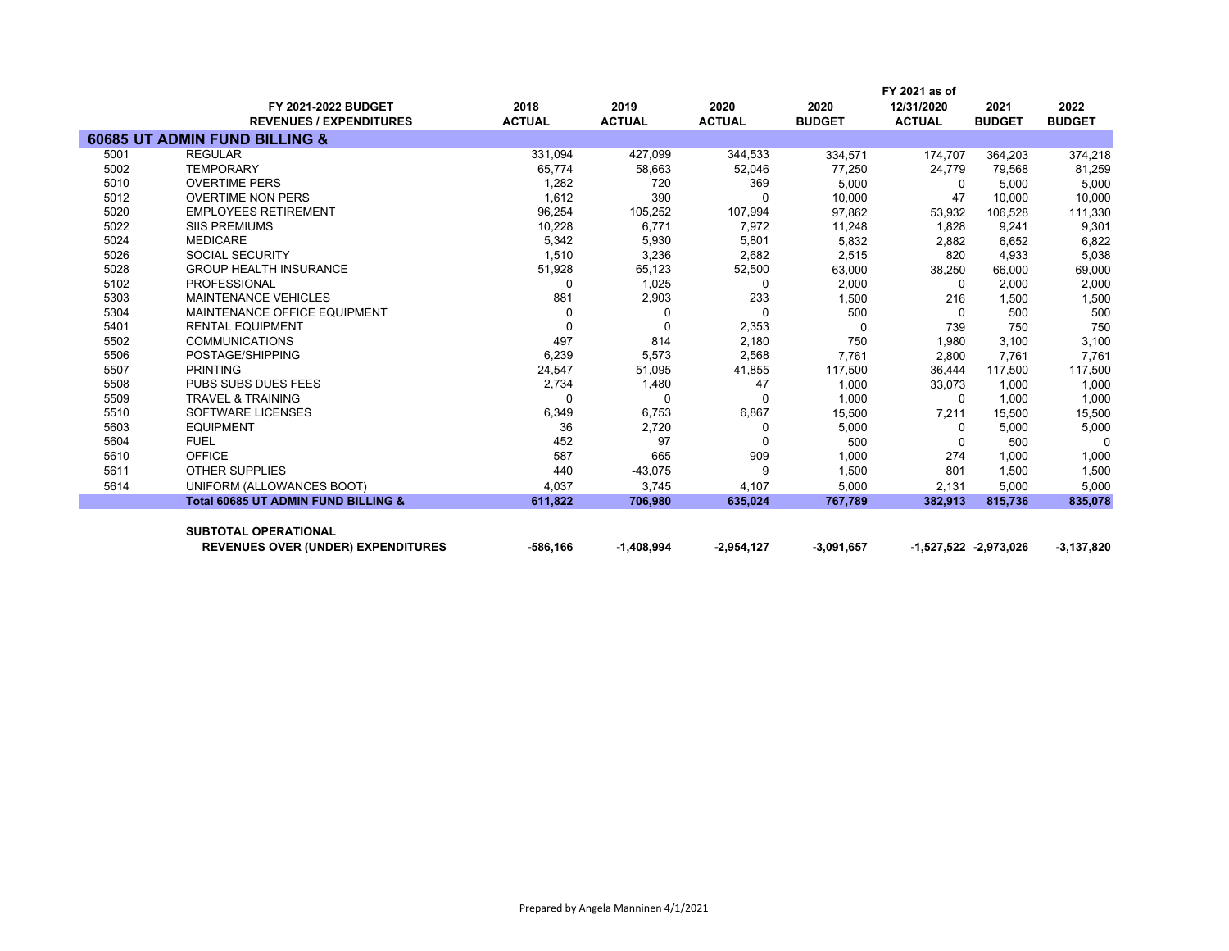|      |                                                |               |               |               |               | FY 2021 as of |                       |               |
|------|------------------------------------------------|---------------|---------------|---------------|---------------|---------------|-----------------------|---------------|
|      | <b>FY 2021-2022 BUDGET</b>                     | 2018          | 2019          | 2020          | 2020          | 12/31/2020    | 2021                  | 2022          |
|      | <b>REVENUES / EXPENDITURES</b>                 | <b>ACTUAL</b> | <b>ACTUAL</b> | <b>ACTUAL</b> | <b>BUDGET</b> | <b>ACTUAL</b> | <b>BUDGET</b>         | <b>BUDGET</b> |
|      | 60685 UT ADMIN FUND BILLING &                  |               |               |               |               |               |                       |               |
| 5001 | <b>REGULAR</b>                                 | 331,094       | 427,099       | 344,533       | 334,571       | 174,707       | 364,203               | 374,218       |
| 5002 | <b>TEMPORARY</b>                               | 65,774        | 58,663        | 52,046        | 77,250        | 24,779        | 79,568                | 81,259        |
| 5010 | <b>OVERTIME PERS</b>                           | 1,282         | 720           | 369           | 5.000         | $\Omega$      | 5,000                 | 5,000         |
| 5012 | <b>OVERTIME NON PERS</b>                       | 1,612         | 390           | $\Omega$      | 10,000        | 47            | 10,000                | 10,000        |
| 5020 | <b>EMPLOYEES RETIREMENT</b>                    | 96,254        | 105,252       | 107,994       | 97,862        | 53,932        | 106,528               | 111,330       |
| 5022 | <b>SIIS PREMIUMS</b>                           | 10,228        | 6,771         | 7,972         | 11,248        | 1,828         | 9,241                 | 9,301         |
| 5024 | <b>MEDICARE</b>                                | 5,342         | 5,930         | 5,801         | 5,832         | 2,882         | 6,652                 | 6,822         |
| 5026 | <b>SOCIAL SECURITY</b>                         | 1,510         | 3,236         | 2,682         | 2,515         | 820           | 4,933                 | 5,038         |
| 5028 | <b>GROUP HEALTH INSURANCE</b>                  | 51,928        | 65,123        | 52,500        | 63,000        | 38,250        | 66,000                | 69,000        |
| 5102 | <b>PROFESSIONAL</b>                            | 0             | 1,025         | 0             | 2,000         | $\Omega$      | 2,000                 | 2,000         |
| 5303 | <b>MAINTENANCE VEHICLES</b>                    | 881           | 2,903         | 233           | 1,500         | 216           | 1,500                 | 1,500         |
| 5304 | MAINTENANCE OFFICE EQUIPMENT                   | $\Omega$      | $\Omega$      | $\Omega$      | 500           | $\Omega$      | 500                   | 500           |
| 5401 | <b>RENTAL EQUIPMENT</b>                        | $\Omega$      | $\Omega$      | 2,353         | $\Omega$      | 739           | 750                   | 750           |
| 5502 | <b>COMMUNICATIONS</b>                          | 497           | 814           | 2,180         | 750           | 1,980         | 3,100                 | 3,100         |
| 5506 | POSTAGE/SHIPPING                               | 6,239         | 5,573         | 2,568         | 7,761         | 2,800         | 7,761                 | 7,761         |
| 5507 | <b>PRINTING</b>                                | 24,547        | 51,095        | 41,855        | 117,500       | 36,444        | 117,500               | 117,500       |
| 5508 | <b>PUBS SUBS DUES FEES</b>                     | 2,734         | 1,480         | 47            | 1,000         | 33,073        | 1.000                 | 1,000         |
| 5509 | <b>TRAVEL &amp; TRAINING</b>                   | 0             | $\Omega$      | $\Omega$      | 1,000         | $\Omega$      | 1,000                 | 1,000         |
| 5510 | SOFTWARE LICENSES                              | 6,349         | 6,753         | 6,867         | 15,500        | 7,211         | 15,500                | 15,500        |
| 5603 | <b>EQUIPMENT</b>                               | 36            | 2,720         | $\Omega$      | 5,000         | $\Omega$      | 5,000                 | 5,000         |
| 5604 | <b>FUEL</b>                                    | 452           | 97            | <sup>0</sup>  | 500           | 0             | 500                   | $\Omega$      |
| 5610 | <b>OFFICE</b>                                  | 587           | 665           | 909           | 1,000         | 274           | 1,000                 | 1,000         |
| 5611 | <b>OTHER SUPPLIES</b>                          | 440           | $-43,075$     | 9             | 1,500         | 801           | 1,500                 | 1,500         |
| 5614 | UNIFORM (ALLOWANCES BOOT)                      | 4,037         | 3,745         | 4,107         | 5,000         | 2,131         | 5,000                 | 5,000         |
|      | <b>Total 60685 UT ADMIN FUND BILLING &amp;</b> | 611,822       | 706,980       | 635,024       | 767,789       | 382,913       | 815,736               | 835,078       |
|      | <b>SUBTOTAL OPERATIONAL</b>                    |               |               |               |               |               |                       |               |
|      | <b>REVENUES OVER (UNDER) EXPENDITURES</b>      | -586.166      | $-1,408,994$  | $-2,954,127$  | $-3,091,657$  |               | -1,527,522 -2,973,026 | $-3,137,820$  |
|      |                                                |               |               |               |               |               |                       |               |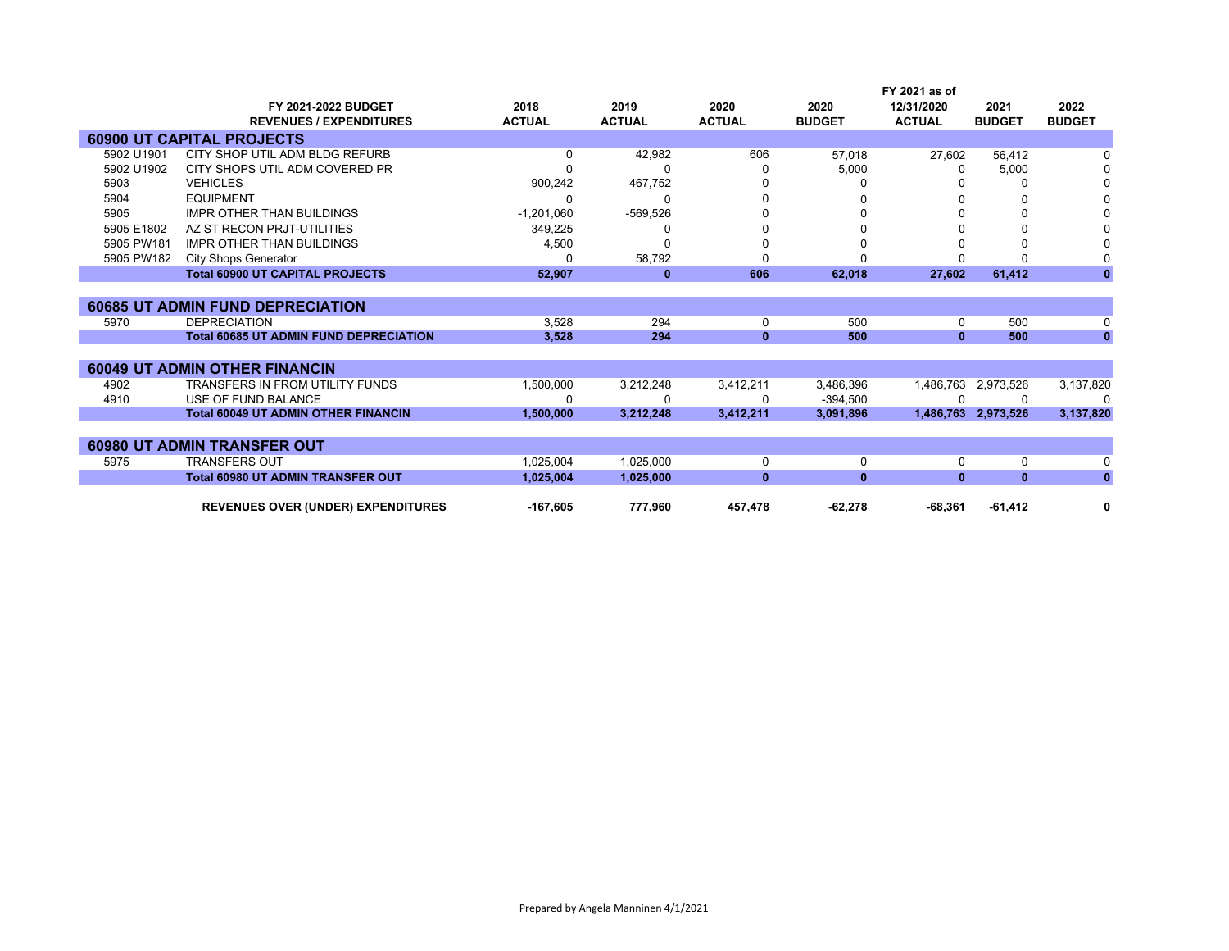|            |                                               |               |               |               |               | FY 2021 as of |                     |               |
|------------|-----------------------------------------------|---------------|---------------|---------------|---------------|---------------|---------------------|---------------|
|            | <b>FY 2021-2022 BUDGET</b>                    | 2018          | 2019          | 2020          | 2020          | 12/31/2020    | 2021                | 2022          |
|            | <b>REVENUES / EXPENDITURES</b>                | <b>ACTUAL</b> | <b>ACTUAL</b> | <b>ACTUAL</b> | <b>BUDGET</b> | <b>ACTUAL</b> | <b>BUDGET</b>       | <b>BUDGET</b> |
|            | <b>60900 UT CAPITAL PROJECTS</b>              |               |               |               |               |               |                     |               |
| 5902 U1901 | CITY SHOP UTIL ADM BLDG REFURB                | 0             | 42,982        | 606           | 57.018        | 27,602        | 56,412              |               |
| 5902 U1902 | CITY SHOPS UTIL ADM COVERED PR                |               | 0             |               | 5,000         | 0             | 5,000               |               |
| 5903       | <b>VEHICLES</b>                               | 900,242       | 467,752       |               |               |               | 0                   |               |
| 5904       | <b>EQUIPMENT</b>                              | O             | 0             |               |               |               | 0                   |               |
| 5905       | <b>IMPR OTHER THAN BUILDINGS</b>              | $-1,201,060$  | $-569,526$    |               |               |               | 0                   |               |
| 5905 E1802 | AZ ST RECON PRJT-UTILITIES                    | 349,225       | 0             |               |               |               | 0                   |               |
| 5905 PW181 | <b>IMPR OTHER THAN BUILDINGS</b>              | 4,500         | O             |               |               |               | 0                   |               |
| 5905 PW182 | <b>City Shops Generator</b>                   | 0             | 58,792        |               |               |               | <sup>0</sup>        |               |
|            | <b>Total 60900 UT CAPITAL PROJECTS</b>        | 52,907        | $\bf{0}$      | 606           | 62,018        | 27,602        | 61,412              | $\mathbf{0}$  |
|            |                                               |               |               |               |               |               |                     |               |
|            | <b>60685 UT ADMIN FUND DEPRECIATION</b>       |               |               |               |               |               |                     |               |
| 5970       | <b>DEPRECIATION</b>                           | 3,528         | 294           | 0             | 500           | 0             | 500                 | 0             |
|            | <b>Total 60685 UT ADMIN FUND DEPRECIATION</b> | 3.528         | 294           | $\bf{0}$      | 500           | $\bf{0}$      | 500                 | $\mathbf{0}$  |
|            |                                               |               |               |               |               |               |                     |               |
|            | <b>60049 UT ADMIN OTHER FINANCIN</b>          |               |               |               |               |               |                     |               |
| 4902       | <b>TRANSFERS IN FROM UTILITY FUNDS</b>        | 1,500,000     | 3,212,248     | 3,412,211     | 3,486,396     | 1,486,763     | 2,973,526           | 3,137,820     |
| 4910       | USE OF FUND BALANCE                           | n             | 0             | n             | $-394.500$    |               | 0                   | $\Omega$      |
|            | <b>Total 60049 UT ADMIN OTHER FINANCIN</b>    | 1,500,000     | 3,212,248     | 3,412,211     | 3,091,896     |               | 1,486,763 2,973,526 | 3,137,820     |
|            |                                               |               |               |               |               |               |                     |               |
|            | <b>60980 UT ADMIN TRANSFER OUT</b>            |               |               |               |               |               |                     |               |
| 5975       | <b>TRANSFERS OUT</b>                          | 1,025,004     | 1,025,000     | 0             | 0             | 0             | 0                   | 0             |
|            | <b>Total 60980 UT ADMIN TRANSFER OUT</b>      | 1,025,004     | 1,025,000     | $\bf{0}$      | $\mathbf{0}$  | $\bf{0}$      | $\mathbf{0}$        | $\mathbf{0}$  |
|            |                                               |               |               |               |               |               |                     |               |
|            | <b>REVENUES OVER (UNDER) EXPENDITURES</b>     | $-167,605$    | 777,960       | 457,478       | $-62,278$     | $-68,361$     | $-61,412$           | 0             |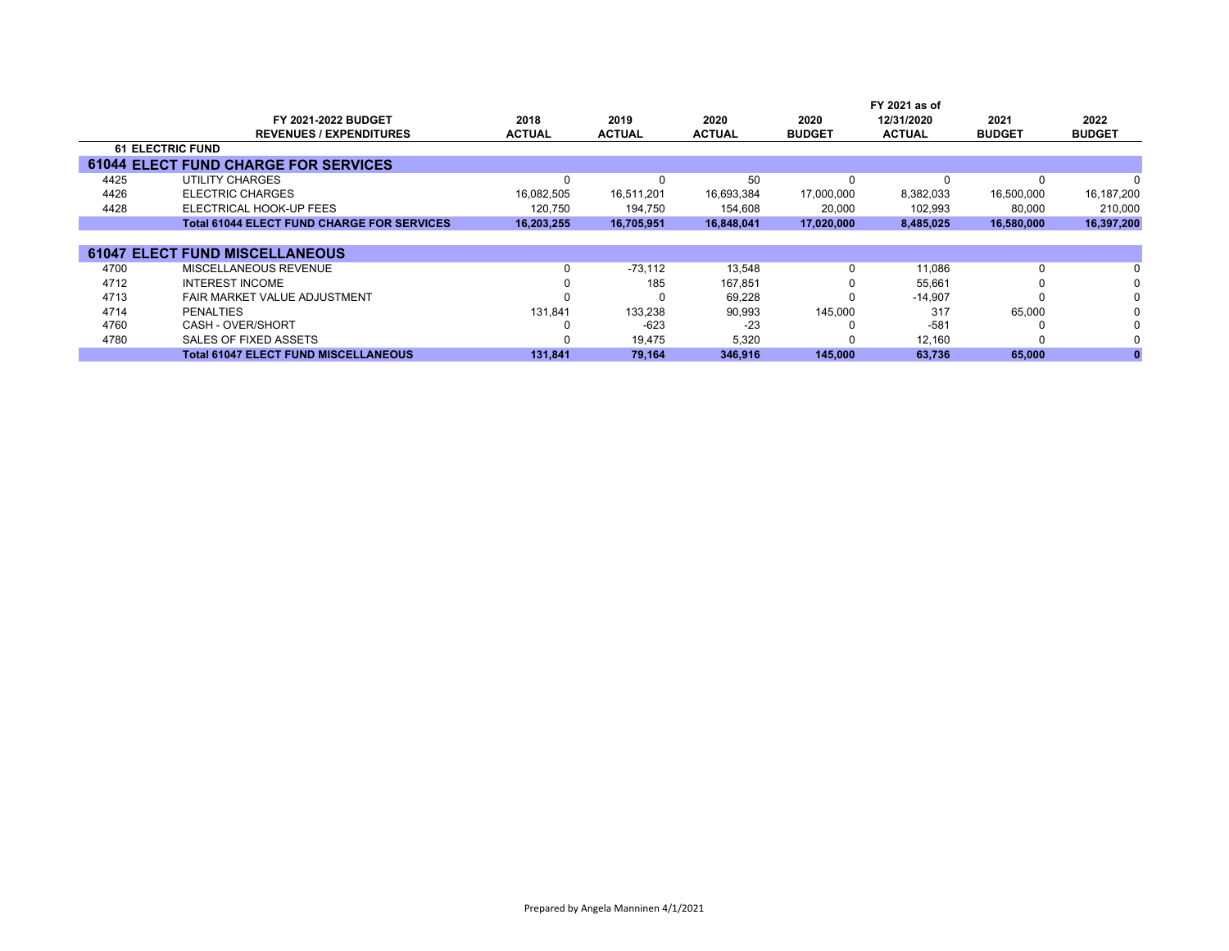|      |                                                   |               |               | FY 2021 as of |               |               |               |               |  |
|------|---------------------------------------------------|---------------|---------------|---------------|---------------|---------------|---------------|---------------|--|
|      | <b>FY 2021-2022 BUDGET</b>                        | 2018          | 2019          | 2020          | 2020          | 12/31/2020    | 2021          | 2022          |  |
|      | <b>REVENUES / EXPENDITURES</b>                    | <b>ACTUAL</b> | <b>ACTUAL</b> | <b>ACTUAL</b> | <b>BUDGET</b> | <b>ACTUAL</b> | <b>BUDGET</b> | <b>BUDGET</b> |  |
|      | <b>61 ELECTRIC FUND</b>                           |               |               |               |               |               |               |               |  |
|      | <b>61044 ELECT FUND CHARGE FOR SERVICES</b>       |               |               |               |               |               |               |               |  |
| 4425 | UTILITY CHARGES                                   | $\Omega$      |               | 50            | 0             |               | <sup>0</sup>  |               |  |
| 4426 | <b>ELECTRIC CHARGES</b>                           | 16,082,505    | 16,511,201    | 16,693,384    | 17,000,000    | 8,382,033     | 16,500,000    | 16,187,200    |  |
| 4428 | ELECTRICAL HOOK-UP FEES                           | 120,750       | 194,750       | 154,608       | 20,000        | 102,993       | 80,000        | 210,000       |  |
|      | <b>Total 61044 ELECT FUND CHARGE FOR SERVICES</b> | 16,203,255    | 16,705,951    | 16,848,041    | 17,020,000    | 8,485,025     | 16,580,000    | 16,397,200    |  |
|      |                                                   |               |               |               |               |               |               |               |  |
|      | <b>61047 ELECT FUND MISCELLANEOUS</b>             |               |               |               |               |               |               |               |  |
| 4700 | MISCELLANEOUS REVENUE                             | 0             | $-73.112$     | 13,548        | 0             | 11,086        | 0             |               |  |
| 4712 | <b>INTEREST INCOME</b>                            | $\Omega$      | 185           | 167,851       | 0             | 55.661        |               | 0             |  |
| 4713 | FAIR MARKET VALUE ADJUSTMENT                      | <sup>0</sup>  |               | 69.228        | <sup>0</sup>  | $-14,907$     |               | 0             |  |
| 4714 | <b>PENALTIES</b>                                  | 131,841       | 133,238       | 90,993        | 145,000       | 317           | 65,000        |               |  |
| 4760 | CASH - OVER/SHORT                                 | 0             | $-623$        | $-23$         |               | $-581$        |               |               |  |
| 4780 | SALES OF FIXED ASSETS                             | <sup>0</sup>  | 19,475        | 5,320         | <sup>0</sup>  | 12,160        |               |               |  |
|      | <b>Total 61047 ELECT FUND MISCELLANEOUS</b>       | 131,841       | 79,164        | 346,916       | 145,000       | 63,736        | 65,000        |               |  |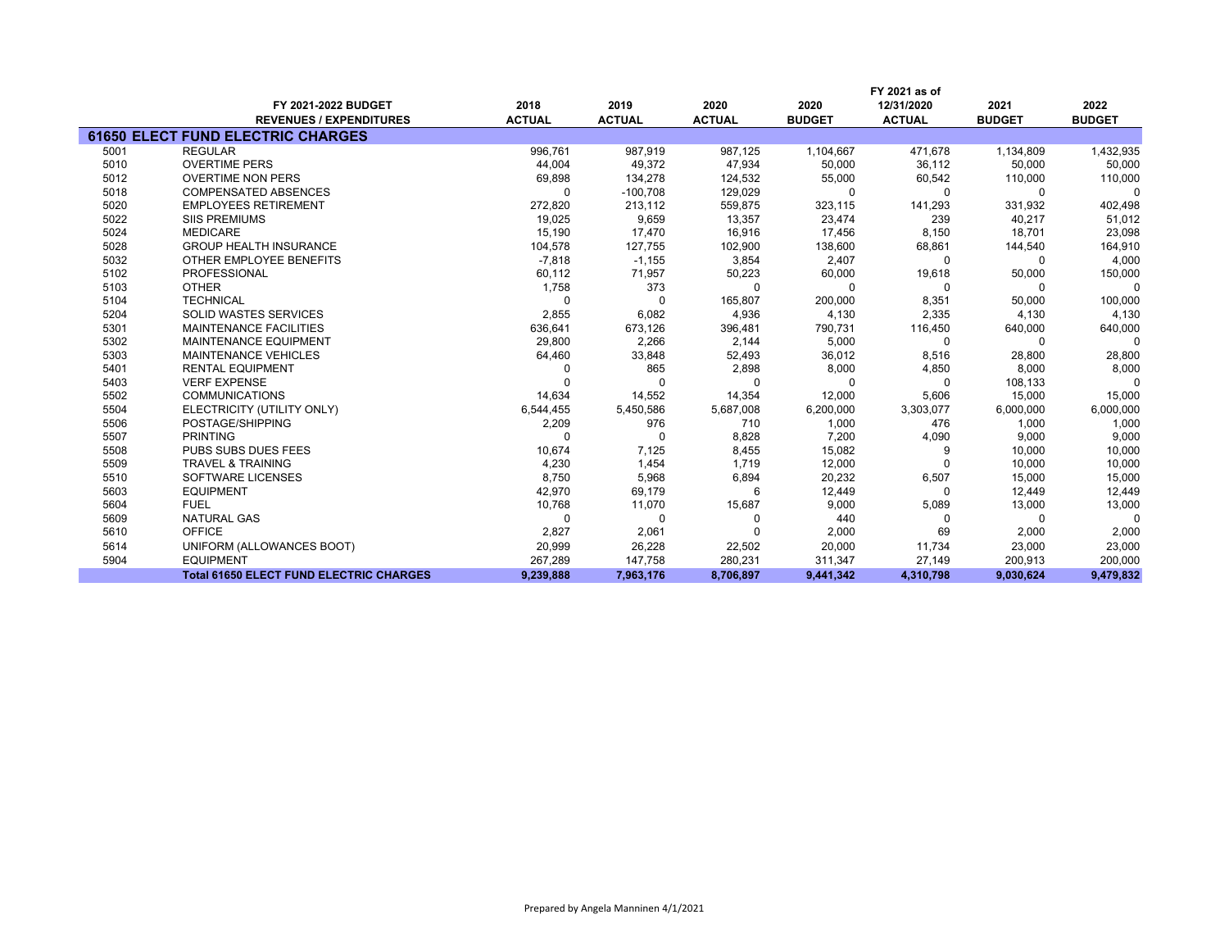|      |                                                | FY 2021 as of |               |               |               |               |               |               |
|------|------------------------------------------------|---------------|---------------|---------------|---------------|---------------|---------------|---------------|
|      | FY 2021-2022 BUDGET                            | 2018          | 2019          | 2020          | 2020          | 12/31/2020    | 2021          | 2022          |
|      | <b>REVENUES / EXPENDITURES</b>                 | <b>ACTUAL</b> | <b>ACTUAL</b> | <b>ACTUAL</b> | <b>BUDGET</b> | <b>ACTUAL</b> | <b>BUDGET</b> | <b>BUDGET</b> |
|      | <b>61650 ELECT FUND ELECTRIC CHARGES</b>       |               |               |               |               |               |               |               |
| 5001 | <b>REGULAR</b>                                 | 996.761       | 987.919       | 987.125       | 1,104,667     | 471.678       | 1,134,809     | 1,432,935     |
| 5010 | <b>OVERTIME PERS</b>                           | 44,004        | 49,372        | 47,934        | 50,000        | 36,112        | 50,000        | 50,000        |
| 5012 | <b>OVERTIME NON PERS</b>                       | 69,898        | 134,278       | 124,532       | 55,000        | 60,542        | 110,000       | 110,000       |
| 5018 | <b>COMPENSATED ABSENCES</b>                    | $\Omega$      | $-100,708$    | 129,029       | 0             | $\Omega$      | 0             | $\Omega$      |
| 5020 | <b>EMPLOYEES RETIREMENT</b>                    | 272,820       | 213,112       | 559,875       | 323,115       | 141,293       | 331,932       | 402,498       |
| 5022 | <b>SIIS PREMIUMS</b>                           | 19,025        | 9,659         | 13,357        | 23,474        | 239           | 40,217        | 51,012        |
| 5024 | <b>MEDICARE</b>                                | 15,190        | 17,470        | 16,916        | 17,456        | 8,150         | 18,701        | 23,098        |
| 5028 | <b>GROUP HEALTH INSURANCE</b>                  | 104,578       | 127,755       | 102,900       | 138,600       | 68,861        | 144,540       | 164,910       |
| 5032 | OTHER EMPLOYEE BENEFITS                        | $-7,818$      | $-1,155$      | 3,854         | 2,407         | $\Omega$      | 0             | 4,000         |
| 5102 | PROFESSIONAL                                   | 60,112        | 71,957        | 50,223        | 60,000        | 19,618        | 50,000        | 150,000       |
| 5103 | <b>OTHER</b>                                   | 1,758         | 373           | $\Omega$      | $\mathbf 0$   | $\Omega$      | 0             | 0             |
| 5104 | <b>TECHNICAL</b>                               | $\Omega$      | $\Omega$      | 165,807       | 200,000       | 8,351         | 50,000        | 100,000       |
| 5204 | <b>SOLID WASTES SERVICES</b>                   | 2,855         | 6,082         | 4,936         | 4,130         | 2,335         | 4,130         | 4,130         |
| 5301 | <b>MAINTENANCE FACILITIES</b>                  | 636,641       | 673,126       | 396,481       | 790,731       | 116,450       | 640,000       | 640,000       |
| 5302 | <b>MAINTENANCE EQUIPMENT</b>                   | 29,800        | 2,266         | 2,144         | 5,000         | $\Omega$      | $\Omega$      | $\Omega$      |
| 5303 | <b>MAINTENANCE VEHICLES</b>                    | 64,460        | 33,848        | 52,493        | 36,012        | 8,516         | 28,800        | 28,800        |
| 5401 | <b>RENTAL EQUIPMENT</b>                        |               | 865           | 2,898         | 8,000         | 4,850         | 8,000         | 8,000         |
| 5403 | <b>VERF EXPENSE</b>                            |               | U             | $\Omega$      | U             | <sup>0</sup>  | 108,133       | $\Omega$      |
| 5502 | <b>COMMUNICATIONS</b>                          | 14,634        | 14,552        | 14,354        | 12,000        | 5,606         | 15,000        | 15,000        |
| 5504 | ELECTRICITY (UTILITY ONLY)                     | 6,544,455     | 5,450,586     | 5,687,008     | 6,200,000     | 3,303,077     | 6,000,000     | 6,000,000     |
| 5506 | POSTAGE/SHIPPING                               | 2,209         | 976           | 710           | 1,000         | 476           | 1,000         | 1,000         |
| 5507 | <b>PRINTING</b>                                | <sup>0</sup>  | <sup>0</sup>  | 8,828         | 7,200         | 4,090         | 9,000         | 9,000         |
| 5508 | PUBS SUBS DUES FEES                            | 10,674        | 7,125         | 8,455         | 15,082        | 9             | 10,000        | 10,000        |
| 5509 | <b>TRAVEL &amp; TRAINING</b>                   | 4,230         | 1,454         | 1.719         | 12,000        |               | 10,000        | 10,000        |
| 5510 | <b>SOFTWARE LICENSES</b>                       | 8,750         | 5,968         | 6,894         | 20,232        | 6,507         | 15,000        | 15,000        |
| 5603 | <b>EQUIPMENT</b>                               | 42,970        | 69,179        | 6             | 12,449        | $\Omega$      | 12,449        | 12,449        |
| 5604 | <b>FUEL</b>                                    | 10,768        | 11,070        | 15,687        | 9,000         | 5,089         | 13,000        | 13,000        |
| 5609 | <b>NATURAL GAS</b>                             | $\Omega$      | $\Omega$      |               | 440           | <sup>0</sup>  | $\Omega$      | $\Omega$      |
| 5610 | <b>OFFICE</b>                                  | 2,827         | 2,061         |               | 2,000         | 69            | 2,000         | 2,000         |
| 5614 | UNIFORM (ALLOWANCES BOOT)                      | 20,999        | 26,228        | 22,502        | 20,000        | 11,734        | 23,000        | 23,000        |
| 5904 | <b>EQUIPMENT</b>                               | 267,289       | 147,758       | 280,231       | 311,347       | 27,149        | 200,913       | 200,000       |
|      | <b>Total 61650 ELECT FUND ELECTRIC CHARGES</b> | 9,239,888     | 7,963,176     | 8,706,897     | 9,441,342     | 4,310,798     | 9,030,624     | 9,479,832     |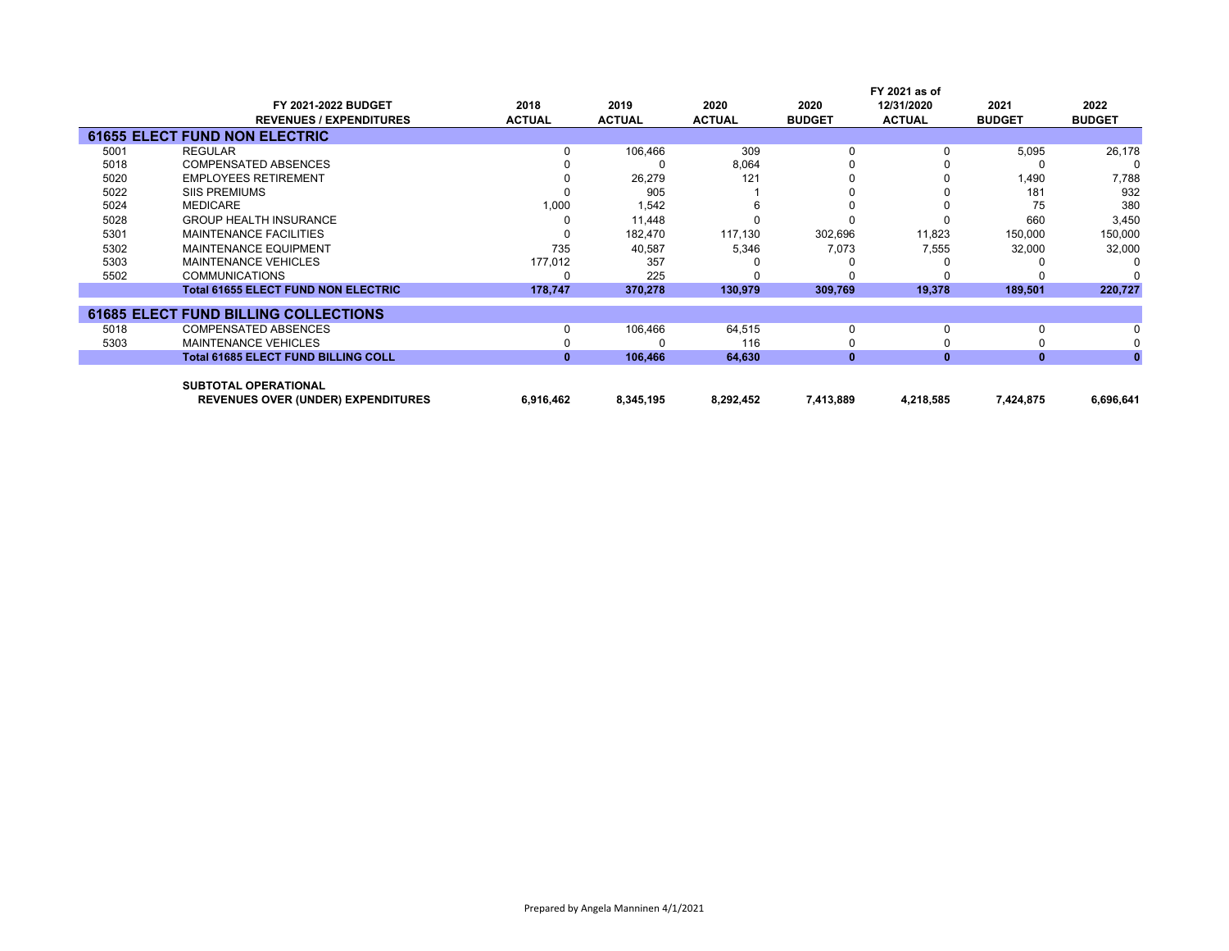|      |                                             |               |               |               |               | FY 2021 as of |               |               |
|------|---------------------------------------------|---------------|---------------|---------------|---------------|---------------|---------------|---------------|
|      | FY 2021-2022 BUDGET                         | 2018          | 2019          | 2020          | 2020          | 12/31/2020    | 2021          | 2022          |
|      | <b>REVENUES / EXPENDITURES</b>              | <b>ACTUAL</b> | <b>ACTUAL</b> | <b>ACTUAL</b> | <b>BUDGET</b> | <b>ACTUAL</b> | <b>BUDGET</b> | <b>BUDGET</b> |
|      | <b>61655 ELECT FUND NON ELECTRIC</b>        |               |               |               |               |               |               |               |
| 5001 | <b>REGULAR</b>                              |               | 106,466       | 309           | <sup>0</sup>  |               | 5,095         | 26,178        |
| 5018 | <b>COMPENSATED ABSENCES</b>                 |               |               | 8,064         |               |               |               |               |
| 5020 | <b>EMPLOYEES RETIREMENT</b>                 |               | 26,279        | 121           |               |               | 1,490         | 7,788         |
| 5022 | <b>SIIS PREMIUMS</b>                        |               | 905           |               |               |               | 181           | 932           |
| 5024 | <b>MEDICARE</b>                             | 1,000         | 1,542         |               |               |               | 75            | 380           |
| 5028 | <b>GROUP HEALTH INSURANCE</b>               |               | 11.448        |               |               |               | 660           | 3,450         |
| 5301 | <b>MAINTENANCE FACILITIES</b>               | 0             | 182,470       | 117,130       | 302,696       | 11,823        | 150,000       | 150,000       |
| 5302 | <b>MAINTENANCE EQUIPMENT</b>                | 735           | 40,587        | 5,346         | 7,073         | 7,555         | 32,000        | 32,000        |
| 5303 | <b>MAINTENANCE VEHICLES</b>                 | 177,012       | 357           |               |               |               |               |               |
| 5502 | <b>COMMUNICATIONS</b>                       |               | 225           |               |               |               |               |               |
|      | <b>Total 61655 ELECT FUND NON ELECTRIC</b>  | 178,747       | 370,278       | 130,979       | 309,769       | 19,378        | 189,501       | 220,727       |
|      | <b>61685 ELECT FUND BILLING COLLECTIONS</b> |               |               |               |               |               |               |               |
| 5018 | <b>COMPENSATED ABSENCES</b>                 | 0             | 106,466       | 64,515        | 0             |               | $\Omega$      |               |
| 5303 | <b>MAINTENANCE VEHICLES</b>                 |               |               | 116           |               |               |               |               |
|      | <b>Total 61685 ELECT FUND BILLING COLL</b>  | $\mathbf{0}$  | 106,466       | 64,630        | $\mathbf{0}$  | $\bf{0}$      | $\mathbf{0}$  |               |
|      | <b>SUBTOTAL OPERATIONAL</b>                 |               |               |               |               |               |               |               |
|      | <b>REVENUES OVER (UNDER) EXPENDITURES</b>   | 6,916,462     | 8,345,195     | 8,292,452     | 7,413,889     | 4,218,585     | 7,424,875     | 6,696,641     |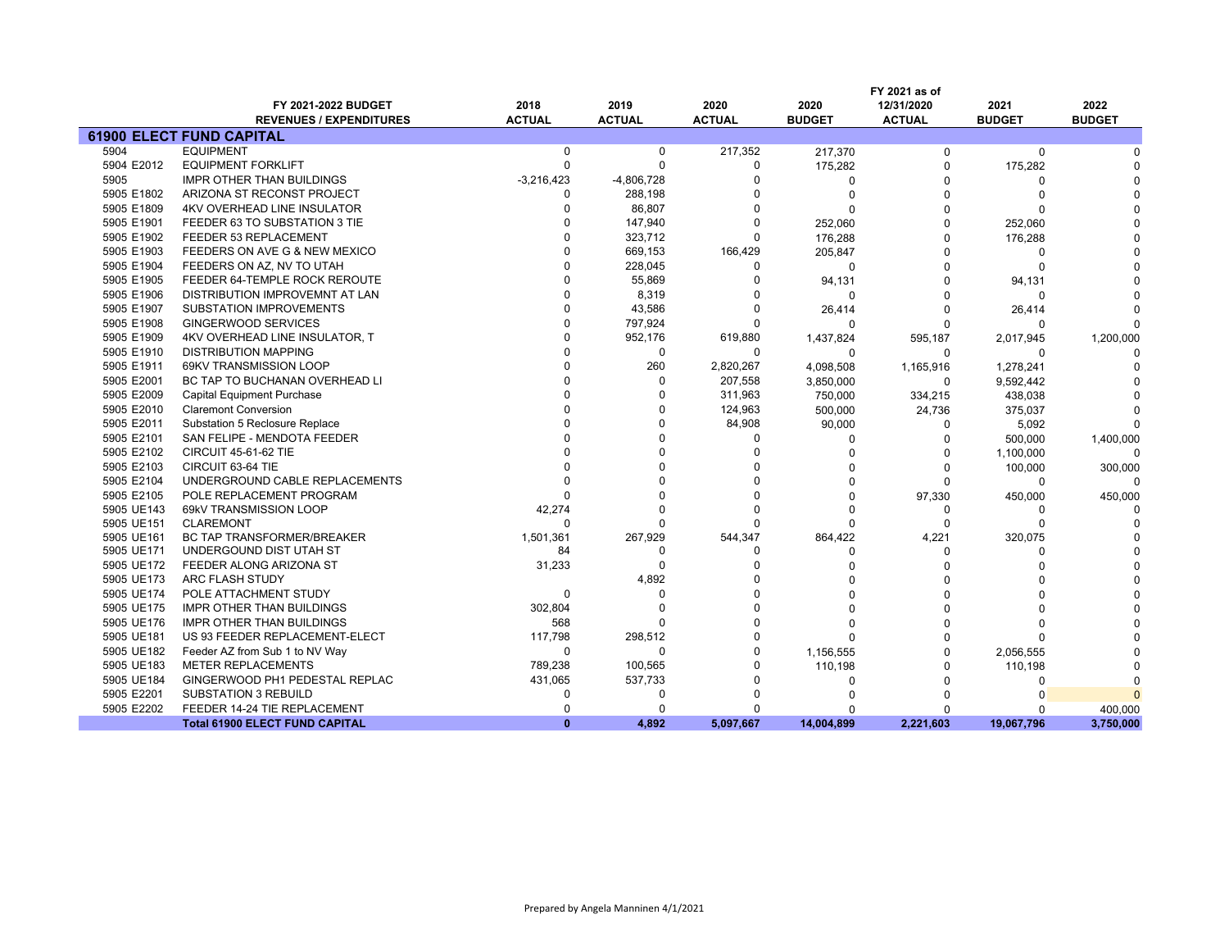|            |                                       |               |               |               |               | FY 2021 as of |               |               |
|------------|---------------------------------------|---------------|---------------|---------------|---------------|---------------|---------------|---------------|
|            | FY 2021-2022 BUDGET                   | 2018          | 2019          | 2020          | 2020          | 12/31/2020    | 2021          | 2022          |
|            | <b>REVENUES / EXPENDITURES</b>        | <b>ACTUAL</b> | <b>ACTUAL</b> | <b>ACTUAL</b> | <b>BUDGET</b> | <b>ACTUAL</b> | <b>BUDGET</b> | <b>BUDGET</b> |
|            | <b>61900 ELECT FUND CAPITAL</b>       |               |               |               |               |               |               |               |
| 5904       | <b>EQUIPMENT</b>                      | $\mathbf 0$   | $\mathbf 0$   | 217,352       | 217,370       | $\mathbf 0$   | 0             |               |
| 5904 E2012 | <b>EQUIPMENT FORKLIFT</b>             | $\Omega$      | $\Omega$      | 0             | 175,282       | 0             | 175,282       |               |
| 5905       | <b>IMPR OTHER THAN BUILDINGS</b>      | $-3,216,423$  | $-4,806,728$  | 0             | $\Omega$      | $\Omega$      |               |               |
| 5905 E1802 | ARIZONA ST RECONST PROJECT            | <sup>0</sup>  | 288,198       | $\Omega$      | $\Omega$      | O             |               |               |
| 5905 E1809 | <b>4KV OVERHEAD LINE INSULATOR</b>    | $\Omega$      | 86,807        | O             | $\Omega$      | $\Omega$      |               |               |
| 5905 E1901 | FEEDER 63 TO SUBSTATION 3 TIE         |               | 147,940       | $\Omega$      | 252,060       | $\Omega$      | 252,060       |               |
| 5905 E1902 | FEEDER 53 REPLACEMENT                 | $\Omega$      | 323,712       | $\Omega$      | 176,288       | O             | 176,288       |               |
| 5905 E1903 | FEEDERS ON AVE G & NEW MEXICO         | $\Omega$      | 669,153       | 166,429       | 205,847       | $\Omega$      | $\Omega$      |               |
| 5905 E1904 | FEEDERS ON AZ. NV TO UTAH             | $\Omega$      | 228,045       | 0             | $\mathbf 0$   | $\Omega$      |               |               |
| 5905 E1905 | FEEDER 64-TEMPLE ROCK REROUTE         | $\Omega$      | 55,869        | $\Omega$      | 94,131        | $\Omega$      | 94,131        |               |
| 5905 E1906 | DISTRIBUTION IMPROVEMNT AT LAN        | $\Omega$      | 8,319         | 0             | 0             | $\Omega$      | $\Omega$      |               |
| 5905 E1907 | SUBSTATION IMPROVEMENTS               | $\Omega$      | 43,586        | 0             | 26,414        | $\Omega$      | 26,414        |               |
| 5905 E1908 | GINGERWOOD SERVICES                   | $\Omega$      | 797,924       | $\Omega$      | $\Omega$      | O             | $\Omega$      |               |
| 5905 E1909 | 4KV OVERHEAD LINE INSULATOR, T        | $\Omega$      | 952,176       | 619,880       | 1,437,824     | 595,187       | 2,017,945     | 1,200,000     |
| 5905 E1910 | <b>DISTRIBUTION MAPPING</b>           | $\Omega$      | $\Omega$      | $\mathbf 0$   | 0             | $\Omega$      | $\Omega$      |               |
| 5905 E1911 | 69KV TRANSMISSION LOOP                | $\Omega$      | 260           | 2,820,267     | 4,098,508     | 1,165,916     | 1,278,241     |               |
| 5905 E2001 | BC TAP TO BUCHANAN OVERHEAD LI        | $\Omega$      | $\Omega$      | 207,558       | 3,850,000     | 0             | 9,592,442     |               |
| 5905 E2009 | Capital Equipment Purchase            |               | $\Omega$      | 311,963       | 750,000       | 334,215       | 438,038       |               |
| 5905 E2010 | <b>Claremont Conversion</b>           |               |               | 124,963       | 500,000       | 24,736        | 375,037       |               |
| 5905 E2011 | Substation 5 Reclosure Replace        |               | $\Omega$      | 84,908        | 90,000        | 0             | 5,092         |               |
| 5905 E2101 | SAN FELIPE - MENDOTA FEEDER           |               |               | $\mathbf 0$   | $\Omega$      | $\Omega$      | 500,000       | 1,400,000     |
| 5905 E2102 | <b>CIRCUIT 45-61-62 TIE</b>           |               |               | $\Omega$      |               | $\Omega$      | 1,100,000     |               |
| 5905 E2103 | CIRCUIT 63-64 TIE                     |               |               |               |               | $\Omega$      | 100,000       | 300,000       |
| 5905 E2104 | UNDERGROUND CABLE REPLACEMENTS        |               |               |               |               | $\Omega$      | $\Omega$      |               |
| 5905 E2105 | POLE REPLACEMENT PROGRAM              |               |               | $\Omega$      | n             | 97,330        | 450,000       | 450,000       |
| 5905 UE143 | 69kV TRANSMISSION LOOP                | 42,274        |               | $\Omega$      | O             | $\Omega$      |               |               |
| 5905 UE151 | <b>CLAREMONT</b>                      | $\cap$        |               | $\Omega$      | O             | $\Omega$      | $\Omega$      |               |
| 5905 UE161 | BC TAP TRANSFORMER/BREAKER            | 1,501,361     | 267,929       | 544,347       | 864,422       | 4,221         | 320,075       |               |
| 5905 UE171 | UNDERGOUND DIST UTAH ST               | 84            | $\Omega$      | 0             | 0             | 0             | $\Omega$      |               |
| 5905 UE172 | FEEDER ALONG ARIZONA ST               | 31,233        | $\Omega$      | $\Omega$      |               | $\Omega$      |               |               |
| 5905 UE173 | ARC FLASH STUDY                       |               | 4,892         | 0             |               | ŋ             |               |               |
| 5905 UE174 | POLE ATTACHMENT STUDY                 | $\mathbf 0$   | $\Omega$      | $\Omega$      |               | O             |               |               |
| 5905 UE175 | IMPR OTHER THAN BUILDINGS             | 302,804       | $\Omega$      | $\Omega$      |               | O             |               |               |
| 5905 UE176 | IMPR OTHER THAN BUILDINGS             | 568           |               | O             | ŋ             | O             |               |               |
| 5905 UE181 | US 93 FEEDER REPLACEMENT-ELECT        | 117,798       | 298,512       | $\Omega$      | $\Omega$      | $\Omega$      |               |               |
| 5905 UE182 | Feeder AZ from Sub 1 to NV Way        | 0             | $\Omega$      | $\Omega$      | 1,156,555     | $\Omega$      | 2,056,555     |               |
| 5905 UE183 | <b>METER REPLACEMENTS</b>             | 789,238       | 100,565       | O             | 110,198       | O             | 110,198       |               |
| 5905 UE184 | GINGERWOOD PH1 PEDESTAL REPLAC        | 431,065       | 537,733       | 0             | $\Omega$      | $\Omega$      | $\Omega$      |               |
| 5905 E2201 | <b>SUBSTATION 3 REBUILD</b>           | $\Omega$      | $\Omega$      | $\Omega$      |               | O             |               |               |
| 5905 E2202 | FEEDER 14-24 TIE REPLACEMENT          | $\Omega$      | n             | 0             |               | ŋ             |               | 400,000       |
|            | <b>Total 61900 ELECT FUND CAPITAL</b> | $\mathbf{0}$  | 4,892         | 5,097,667     | 14,004,899    | 2,221,603     | 19,067,796    | 3,750,000     |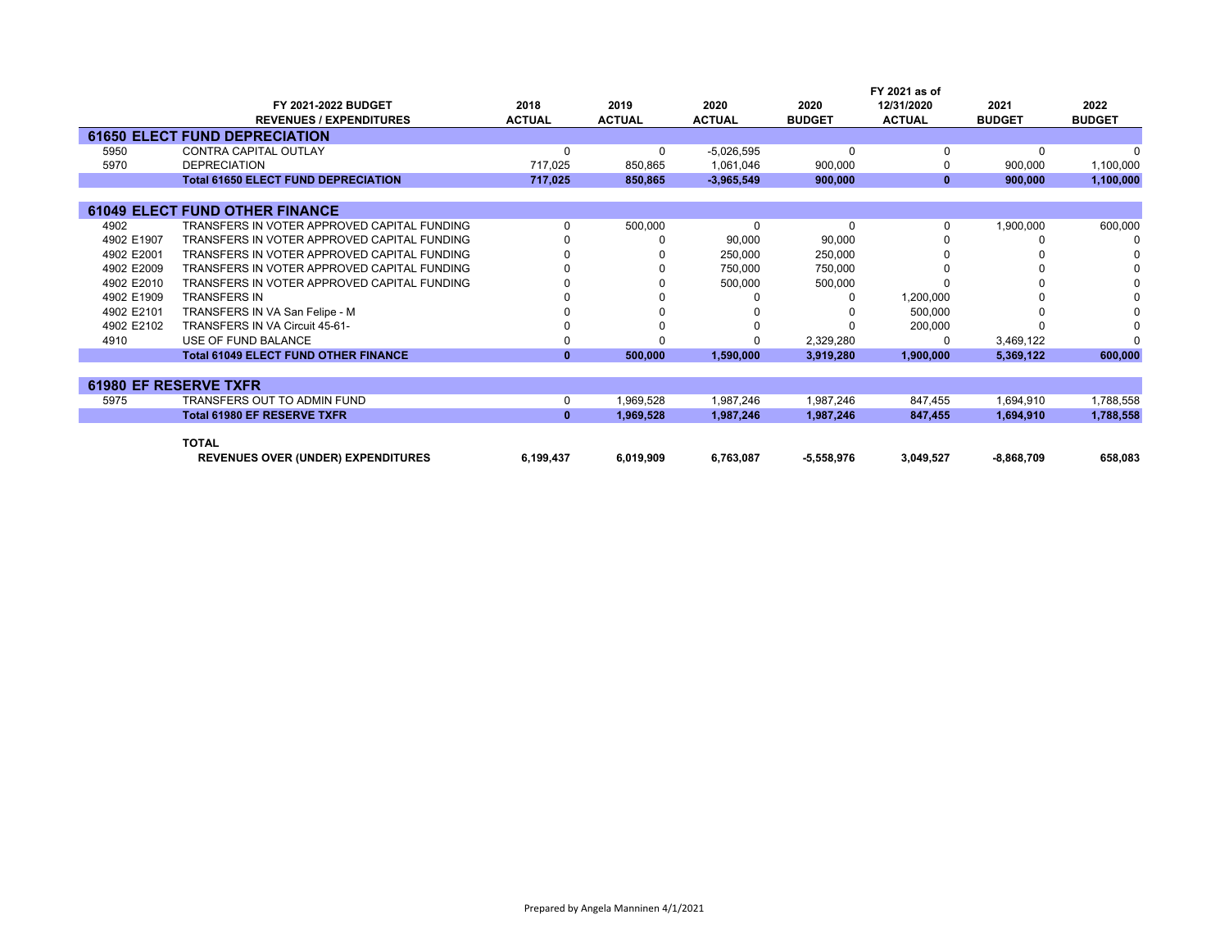|            |                                             |               |               |               |               | FY 2021 as of |               |               |
|------------|---------------------------------------------|---------------|---------------|---------------|---------------|---------------|---------------|---------------|
|            | FY 2021-2022 BUDGET                         | 2018          | 2019          | 2020          | 2020          | 12/31/2020    | 2021          | 2022          |
|            | <b>REVENUES / EXPENDITURES</b>              | <b>ACTUAL</b> | <b>ACTUAL</b> | <b>ACTUAL</b> | <b>BUDGET</b> | <b>ACTUAL</b> | <b>BUDGET</b> | <b>BUDGET</b> |
|            | <b>61650 ELECT FUND DEPRECIATION</b>        |               |               |               |               |               |               |               |
| 5950       | CONTRA CAPITAL OUTLAY                       |               | $\Omega$      | $-5,026,595$  | $\Omega$      |               | $\Omega$      |               |
| 5970       | <b>DEPRECIATION</b>                         | 717,025       | 850,865       | 1,061,046     | 900,000       |               | 900,000       | 1,100,000     |
|            | <b>Total 61650 ELECT FUND DEPRECIATION</b>  | 717,025       | 850,865       | $-3,965,549$  | 900,000       | $\bf{0}$      | 900,000       | 1,100,000     |
|            |                                             |               |               |               |               |               |               |               |
|            | <b>61049 ELECT FUND OTHER FINANCE</b>       |               |               |               |               |               |               |               |
| 4902       | TRANSFERS IN VOTER APPROVED CAPITAL FUNDING |               | 500,000       | 0             | 0             |               | 1,900,000     | 600,000       |
| 4902 E1907 | TRANSFERS IN VOTER APPROVED CAPITAL FUNDING |               |               | 90,000        | 90,000        |               |               |               |
| 4902 E2001 | TRANSFERS IN VOTER APPROVED CAPITAL FUNDING |               |               | 250,000       | 250,000       |               |               |               |
| 4902 E2009 | TRANSFERS IN VOTER APPROVED CAPITAL FUNDING |               |               | 750,000       | 750,000       |               |               |               |
| 4902 E2010 | TRANSFERS IN VOTER APPROVED CAPITAL FUNDING |               |               | 500,000       | 500,000       |               |               |               |
| 4902 E1909 | <b>TRANSFERS IN</b>                         |               |               |               |               | 1,200,000     |               |               |
| 4902 E2101 | TRANSFERS IN VA San Felipe - M              |               |               |               |               | 500,000       |               |               |
| 4902 E2102 | TRANSFERS IN VA Circuit 45-61-              |               |               |               |               | 200,000       |               |               |
| 4910       | USE OF FUND BALANCE                         |               |               |               | 2,329,280     |               | 3,469,122     | n             |
|            | <b>Total 61049 ELECT FUND OTHER FINANCE</b> | $\mathbf{0}$  | 500,000       | 1,590,000     | 3,919,280     | 1,900,000     | 5,369,122     | 600,000       |
|            |                                             |               |               |               |               |               |               |               |
|            | <b>61980 EF RESERVE TXFR</b>                |               |               |               |               |               |               |               |
| 5975       | TRANSFERS OUT TO ADMIN FUND                 | 0             | 1,969,528     | 1,987,246     | 1,987,246     | 847,455       | 1,694,910     | 1,788,558     |
|            | <b>Total 61980 EF RESERVE TXFR</b>          | $\mathbf{0}$  | 1,969,528     | 1,987,246     | 1,987,246     | 847,455       | 1,694,910     | 1,788,558     |
|            | <b>TOTAL</b>                                |               |               |               |               |               |               |               |
|            |                                             |               |               |               |               |               |               |               |
|            | <b>REVENUES OVER (UNDER) EXPENDITURES</b>   | 6,199,437     | 6,019,909     | 6,763,087     | $-5,558,976$  | 3,049,527     | $-8,868,709$  | 658,083       |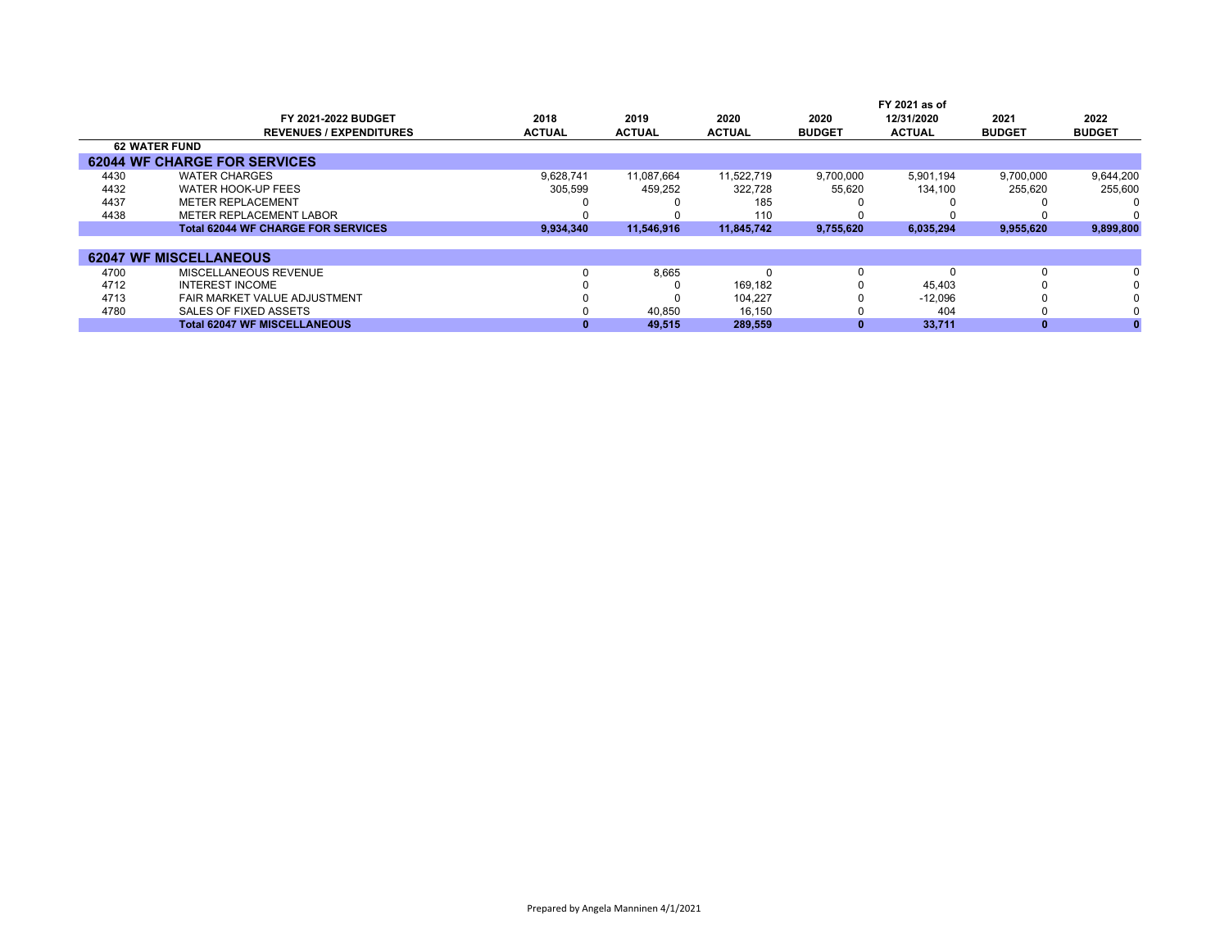|      | FY 2021-2022 BUDGET<br><b>REVENUES / EXPENDITURES</b> | 2018<br><b>ACTUAL</b> | 2019<br><b>ACTUAL</b> | 2020<br><b>ACTUAL</b> | 2020<br><b>BUDGET</b> | FY 2021 as of<br>12/31/2020<br><b>ACTUAL</b> | 2021<br><b>BUDGET</b> | 2022<br><b>BUDGET</b> |
|------|-------------------------------------------------------|-----------------------|-----------------------|-----------------------|-----------------------|----------------------------------------------|-----------------------|-----------------------|
|      | <b>62 WATER FUND</b>                                  |                       |                       |                       |                       |                                              |                       |                       |
|      | <b>62044 WF CHARGE FOR SERVICES</b>                   |                       |                       |                       |                       |                                              |                       |                       |
| 4430 | <b>WATER CHARGES</b>                                  | 9.628.741             | 11.087.664            | 11.522.719            | 9,700,000             | 5.901.194                                    | 9.700.000             | 9,644,200             |
| 4432 | WATER HOOK-UP FEES                                    | 305,599               | 459,252               | 322,728               | 55,620                | 134.100                                      | 255,620               | 255,600               |
| 4437 | <b>METER REPLACEMENT</b>                              |                       |                       | 185                   |                       |                                              |                       |                       |
| 4438 | METER REPLACEMENT LABOR                               |                       |                       | 110                   |                       |                                              |                       |                       |
|      | <b>Total 62044 WF CHARGE FOR SERVICES</b>             | 9,934,340             | 11.546.916            | 11.845.742            | 9,755,620             | 6,035,294                                    | 9,955,620             | 9,899,800             |
|      |                                                       |                       |                       |                       |                       |                                              |                       |                       |
|      | <b>62047 WF MISCELLANEOUS</b>                         |                       |                       |                       |                       |                                              |                       |                       |
| 4700 | MISCELLANEOUS REVENUE                                 |                       | 8,665                 |                       | 0                     |                                              |                       | $\Omega$              |
| 4712 | <b>INTEREST INCOME</b>                                |                       |                       | 169.182               |                       | 45.403                                       |                       | $\Omega$              |
| 4713 | FAIR MARKET VALUE ADJUSTMENT                          |                       |                       | 104,227               |                       | $-12,096$                                    |                       |                       |
| 4780 | SALES OF FIXED ASSETS                                 |                       | 40.850                | 16.150                |                       | 404                                          |                       | $\Omega$              |
|      | <b>Total 62047 WF MISCELLANEOUS</b>                   |                       | 49,515                | 289,559               |                       | 33,711                                       |                       |                       |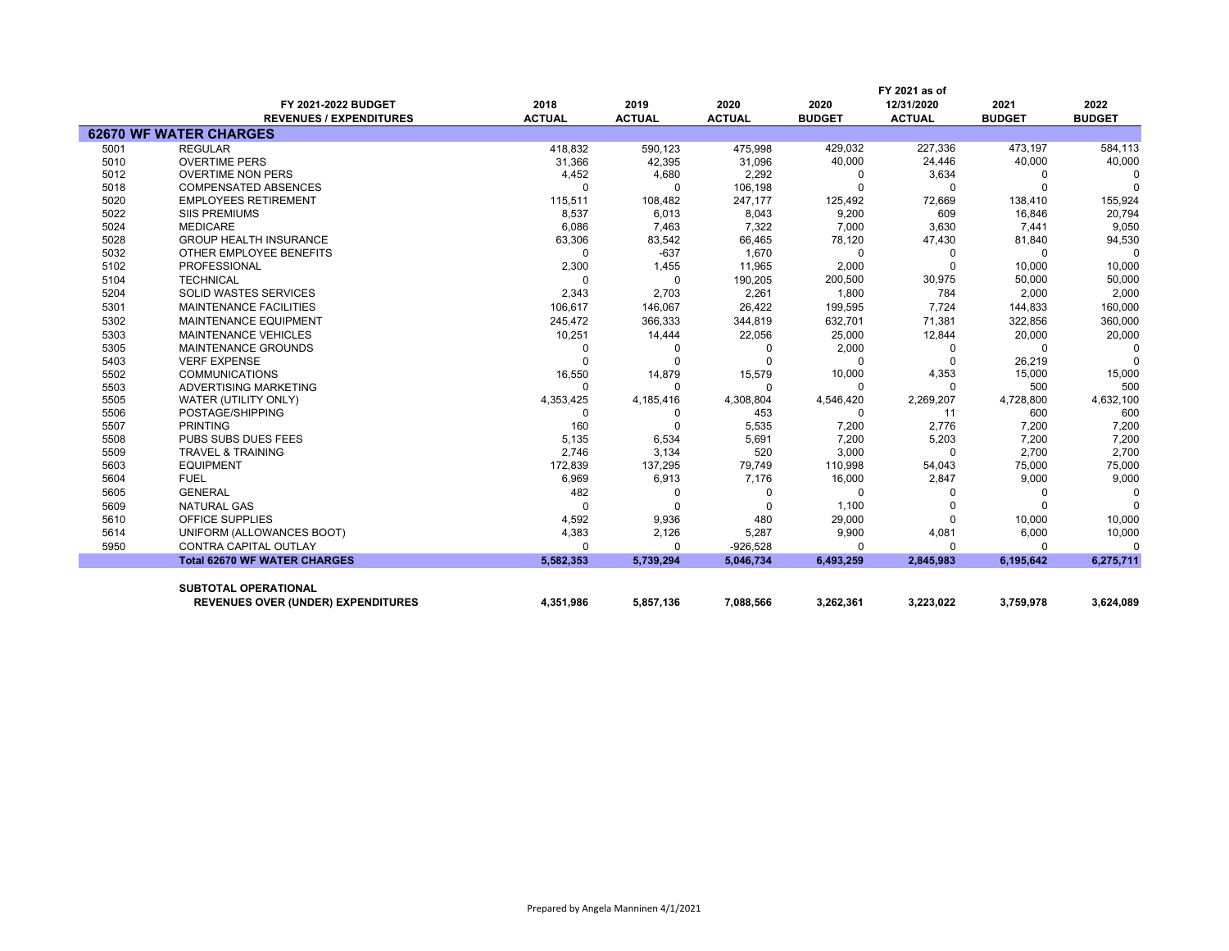|      |                                           |               |               |               |               | FY 2021 as of |               |               |
|------|-------------------------------------------|---------------|---------------|---------------|---------------|---------------|---------------|---------------|
|      | FY 2021-2022 BUDGET                       | 2018          | 2019          | 2020          | 2020          | 12/31/2020    | 2021          | 2022          |
|      | <b>REVENUES / EXPENDITURES</b>            | <b>ACTUAL</b> | <b>ACTUAL</b> | <b>ACTUAL</b> | <b>BUDGET</b> | <b>ACTUAL</b> | <b>BUDGET</b> | <b>BUDGET</b> |
|      | <b>62670 WF WATER CHARGES</b>             |               |               |               |               |               |               |               |
| 5001 | <b>REGULAR</b>                            | 418,832       | 590,123       | 475,998       | 429,032       | 227,336       | 473,197       | 584,113       |
| 5010 | <b>OVERTIME PERS</b>                      | 31,366        | 42,395        | 31,096        | 40,000        | 24,446        | 40,000        | 40,000        |
| 5012 | <b>OVERTIME NON PERS</b>                  | 4,452         | 4,680         | 2,292         | 0             | 3,634         |               |               |
| 5018 | <b>COMPENSATED ABSENCES</b>               | $\Omega$      | $\Omega$      | 106,198       | $\Omega$      | $\Omega$      |               | $\Omega$      |
| 5020 | <b>EMPLOYEES RETIREMENT</b>               | 115,511       | 108,482       | 247,177       | 125,492       | 72,669        | 138,410       | 155,924       |
| 5022 | <b>SIIS PREMIUMS</b>                      | 8,537         | 6,013         | 8,043         | 9,200         | 609           | 16,846        | 20,794        |
| 5024 | <b>MEDICARE</b>                           | 6,086         | 7,463         | 7,322         | 7,000         | 3,630         | 7,441         | 9,050         |
| 5028 | <b>GROUP HEALTH INSURANCE</b>             | 63,306        | 83,542        | 66,465        | 78,120        | 47,430        | 81,840        | 94,530        |
| 5032 | OTHER EMPLOYEE BENEFITS                   | $\Omega$      | $-637$        | 1,670         | $\Omega$      | 0             |               | $\Omega$      |
| 5102 | <b>PROFESSIONAL</b>                       | 2,300         | 1,455         | 11,965        | 2,000         | $\Omega$      | 10,000        | 10,000        |
| 5104 | <b>TECHNICAL</b>                          | $\Omega$      | $\Omega$      | 190,205       | 200,500       | 30,975        | 50,000        | 50,000        |
| 5204 | <b>SOLID WASTES SERVICES</b>              | 2,343         | 2,703         | 2,261         | 1.800         | 784           | 2,000         | 2,000         |
| 5301 | <b>MAINTENANCE FACILITIES</b>             | 106.617       | 146,067       | 26,422        | 199,595       | 7,724         | 144,833       | 160,000       |
| 5302 | <b>MAINTENANCE EQUIPMENT</b>              | 245,472       | 366,333       | 344,819       | 632,701       | 71,381        | 322,856       | 360,000       |
| 5303 | <b>MAINTENANCE VEHICLES</b>               | 10,251        | 14,444        | 22,056        | 25,000        | 12,844        | 20,000        | 20,000        |
| 5305 | MAINTENANCE GROUNDS                       | $\Omega$      | 0             | $\Omega$      | 2,000         | 0             |               | <sup>0</sup>  |
| 5403 | <b>VERF EXPENSE</b>                       | $\Omega$      | $\Omega$      |               | $\Omega$      | $\Omega$      | 26,219        | $\Omega$      |
| 5502 | <b>COMMUNICATIONS</b>                     | 16,550        | 14,879        | 15,579        | 10,000        | 4,353         | 15,000        | 15,000        |
| 5503 | ADVERTISING MARKETING                     | $\Omega$      | $\Omega$      | $\Omega$      | $\Omega$      | $\Omega$      | 500           | 500           |
| 5505 | WATER (UTILITY ONLY)                      | 4,353,425     | 4,185,416     | 4,308,804     | 4,546,420     | 2,269,207     | 4,728,800     | 4,632,100     |
| 5506 | POSTAGE/SHIPPING                          | $\Omega$      | <sup>0</sup>  | 453           | $\Omega$      | 11            | 600           | 600           |
| 5507 | <b>PRINTING</b>                           | 160           | $\Omega$      | 5,535         | 7,200         | 2,776         | 7,200         | 7,200         |
| 5508 | PUBS SUBS DUES FEES                       | 5,135         | 6,534         | 5,691         | 7,200         | 5,203         | 7,200         | 7,200         |
| 5509 | <b>TRAVEL &amp; TRAINING</b>              | 2,746         | 3,134         | 520           | 3,000         | $\Omega$      | 2,700         | 2,700         |
| 5603 | <b>EQUIPMENT</b>                          | 172,839       | 137,295       | 79,749        | 110,998       | 54,043        | 75,000        | 75,000        |
| 5604 | <b>FUEL</b>                               | 6,969         | 6,913         | 7,176         | 16,000        | 2,847         | 9,000         | 9,000         |
| 5605 | <b>GENERAL</b>                            | 482           | 0             | O             | 0             | O             | <sup>0</sup>  | $\Omega$      |
| 5609 | <b>NATURAL GAS</b>                        | $\Omega$      | $\Omega$      |               | 1,100         |               |               | $\Omega$      |
| 5610 | <b>OFFICE SUPPLIES</b>                    | 4,592         | 9,936         | 480           | 29,000        | $\Omega$      | 10,000        | 10,000        |
| 5614 | UNIFORM (ALLOWANCES BOOT)                 | 4,383         | 2,126         | 5,287         | 9,900         | 4,081         | 6,000         | 10,000        |
| 5950 | <b>CONTRA CAPITAL OUTLAY</b>              | $\Omega$      | $\Omega$      | $-926,528$    | $\Omega$      | O             |               | $\Omega$      |
|      | <b>Total 62670 WF WATER CHARGES</b>       | 5,582,353     | 5,739,294     | 5,046,734     | 6,493,259     | 2,845,983     | 6,195,642     | 6,275,711     |
|      |                                           |               |               |               |               |               |               |               |
|      | <b>SUBTOTAL OPERATIONAL</b>               |               |               |               |               |               |               |               |
|      | <b>REVENUES OVER (UNDER) EXPENDITURES</b> | 4,351,986     | 5,857,136     | 7,088,566     | 3,262,361     | 3,223,022     | 3,759,978     | 3,624,089     |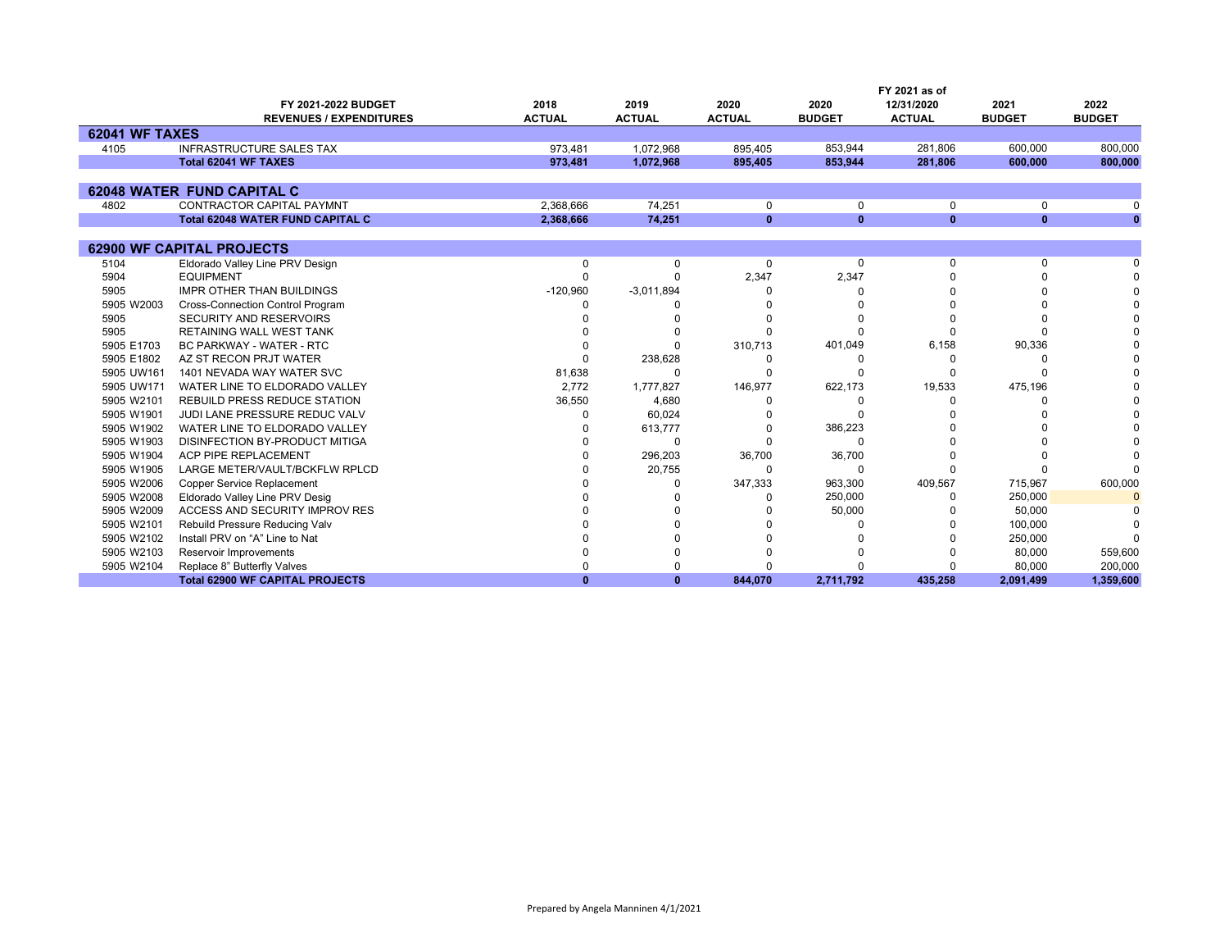|                       |                                         |               |               |               |               | FY 2021 as of |               |               |
|-----------------------|-----------------------------------------|---------------|---------------|---------------|---------------|---------------|---------------|---------------|
|                       | FY 2021-2022 BUDGET                     | 2018          | 2019          | 2020          | 2020          | 12/31/2020    | 2021          | 2022          |
|                       | <b>REVENUES / EXPENDITURES</b>          | <b>ACTUAL</b> | <b>ACTUAL</b> | <b>ACTUAL</b> | <b>BUDGET</b> | <b>ACTUAL</b> | <b>BUDGET</b> | <b>BUDGET</b> |
| <b>62041 WF TAXES</b> |                                         |               |               |               |               |               |               |               |
| 4105                  | <b>INFRASTRUCTURE SALES TAX</b>         | 973.481       | 1.072.968     | 895.405       | 853.944       | 281.806       | 600.000       | 800,000       |
|                       | Total 62041 WF TAXES                    | 973.481       | 1,072,968     | 895.405       | 853.944       | 281.806       | 600.000       | 800.000       |
|                       |                                         |               |               |               |               |               |               |               |
|                       | <b>62048 WATER FUND CAPITAL C</b>       |               |               |               |               |               |               |               |
| 4802                  | CONTRACTOR CAPITAL PAYMNT               | 2,368,666     | 74,251        | 0             | $\mathbf 0$   | 0             | 0             |               |
|                       | <b>Total 62048 WATER FUND CAPITAL C</b> | 2,368,666     | 74,251        | $\mathbf{0}$  | $\mathbf{0}$  | $\mathbf{0}$  | $\mathbf{0}$  | $\mathbf{0}$  |
|                       |                                         |               |               |               |               |               |               |               |
|                       | <b>62900 WF CAPITAL PROJECTS</b>        |               |               |               |               |               |               |               |
| 5104                  | Eldorado Valley Line PRV Design         | $\Omega$      | $\Omega$      | $\Omega$      | $\Omega$      | $\Omega$      | $\Omega$      |               |
| 5904                  | <b>EQUIPMENT</b>                        |               |               | 2,347         | 2,347         |               |               |               |
| 5905                  | <b>IMPR OTHER THAN BUILDINGS</b>        | $-120,960$    | $-3,011,894$  |               |               |               |               |               |
| 5905 W2003            | <b>Cross-Connection Control Program</b> |               |               |               |               |               |               |               |
| 5905                  | SECURITY AND RESERVOIRS                 |               |               |               |               |               |               |               |
| 5905                  | RETAINING WALL WEST TANK                |               |               |               |               |               |               |               |
| 5905 E1703            | BC PARKWAY - WATER - RTC                |               |               | 310,713       | 401,049       | 6,158         | 90,336        |               |
| 5905 E1802            | AZ ST RECON PRJT WATER                  |               | 238,628       |               |               |               |               |               |
| 5905 UW161            | 1401 NEVADA WAY WATER SVC               | 81,638        | $\Omega$      |               |               |               |               |               |
| 5905 UW171            | WATER LINE TO ELDORADO VALLEY           | 2,772         | 1,777,827     | 146,977       | 622,173       | 19,533        | 475,196       |               |
| 5905 W2101            | <b>REBUILD PRESS REDUCE STATION</b>     | 36,550        | 4,680         |               |               |               |               |               |
| 5905 W1901            | JUDI LANE PRESSURE REDUC VALV           |               | 60,024        |               | ŋ             |               |               |               |
| 5905 W1902            | WATER LINE TO ELDORADO VALLEY           |               | 613,777       |               | 386,223       |               |               |               |
| 5905 W1903            | DISINFECTION BY-PRODUCT MITIGA          |               |               |               | $\Omega$      |               |               |               |
| 5905 W1904            | ACP PIPE REPLACEMENT                    |               | 296,203       | 36,700        | 36,700        |               |               |               |
| 5905 W1905            | LARGE METER/VAULT/BCKFLW RPLCD          |               | 20,755        | O             | O             |               |               |               |
| 5905 W2006            | <b>Copper Service Replacement</b>       |               |               | 347,333       | 963,300       | 409,567       | 715,967       | 600,000       |
| 5905 W2008            | Eldorado Valley Line PRV Desig          |               |               |               | 250,000       |               | 250,000       | $\Omega$      |
| 5905 W2009            | ACCESS AND SECURITY IMPROV RES          |               |               |               | 50,000        |               | 50,000        |               |
| 5905 W2101            | Rebuild Pressure Reducing Valv          |               |               |               |               |               | 100,000       |               |
| 5905 W2102            | Install PRV on "A" Line to Nat          |               |               |               |               |               | 250,000       |               |
| 5905 W2103            | <b>Reservoir Improvements</b>           |               |               |               |               |               | 80,000        | 559,600       |
| 5905 W2104            | Replace 8" Butterfly Valves             |               |               |               |               |               | 80,000        | 200,000       |
|                       | <b>Total 62900 WF CAPITAL PROJECTS</b>  |               | $\mathbf{0}$  | 844.070       | 2,711,792     | 435.258       | 2,091,499     | 1,359,600     |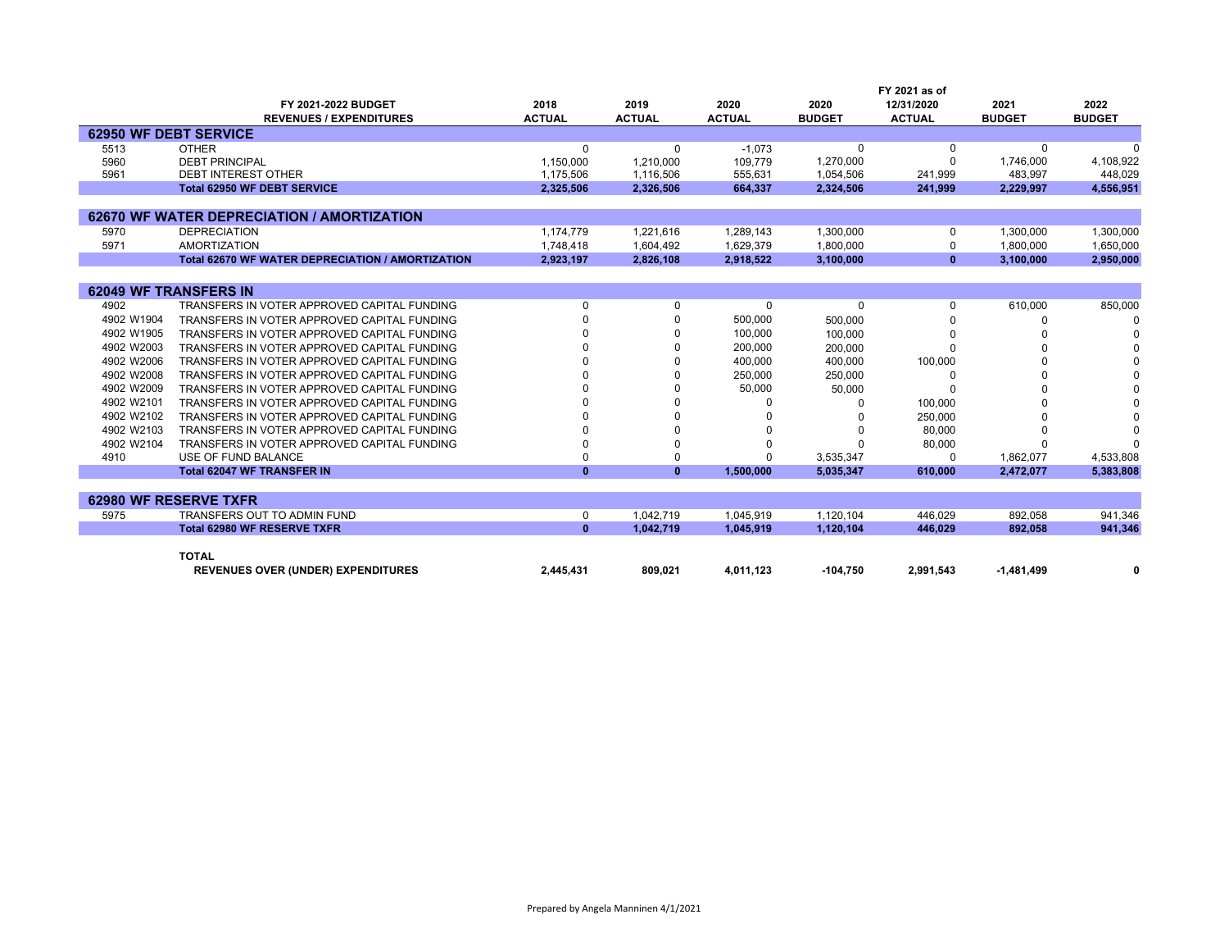|            |                                                  |               |               |               |               | FY 2021 as of |               |               |
|------------|--------------------------------------------------|---------------|---------------|---------------|---------------|---------------|---------------|---------------|
|            | FY 2021-2022 BUDGET                              | 2018          | 2019          | 2020          | 2020          | 12/31/2020    | 2021          | 2022          |
|            | <b>REVENUES / EXPENDITURES</b>                   | <b>ACTUAL</b> | <b>ACTUAL</b> | <b>ACTUAL</b> | <b>BUDGET</b> | <b>ACTUAL</b> | <b>BUDGET</b> | <b>BUDGET</b> |
|            | <b>62950 WF DEBT SERVICE</b>                     |               |               |               |               |               |               |               |
| 5513       | <b>OTHER</b>                                     | 0             | $\Omega$      | $-1.073$      |               |               |               |               |
| 5960       | <b>DEBT PRINCIPAL</b>                            | 1,150,000     | 1,210,000     | 109,779       | 1,270,000     | $\Omega$      | 1,746,000     | 4,108,922     |
| 5961       | <b>DEBT INTEREST OTHER</b>                       | 1,175,506     | 1,116,506     | 555,631       | 1,054,506     | 241,999       | 483,997       | 448,029       |
|            | <b>Total 62950 WF DEBT SERVICE</b>               | 2,325,506     | 2,326,506     | 664,337       | 2,324,506     | 241,999       | 2,229,997     | 4,556,951     |
|            |                                                  |               |               |               |               |               |               |               |
|            | 62670 WF WATER DEPRECIATION / AMORTIZATION       |               |               |               |               |               |               |               |
| 5970       | <b>DEPRECIATION</b>                              | 1,174,779     | 1,221,616     | 1,289,143     | 1,300,000     | 0             | 1,300,000     | 1,300,000     |
| 5971       | <b>AMORTIZATION</b>                              | 1.748.418     | 1.604.492     | 1,629,379     | 1.800.000     | $\Omega$      | 1.800.000     | 1,650,000     |
|            | Total 62670 WF WATER DEPRECIATION / AMORTIZATION | 2,923,197     | 2,826,108     | 2,918,522     | 3,100,000     | $\mathbf{0}$  | 3.100.000     | 2,950,000     |
|            |                                                  |               |               |               |               |               |               |               |
|            | <b>62049 WF TRANSFERS IN</b>                     |               |               |               |               |               |               |               |
| 4902       | TRANSFERS IN VOTER APPROVED CAPITAL FUNDING      | $\Omega$      | 0             | $\Omega$      | $\Omega$      | $\Omega$      | 610,000       | 850,000       |
| 4902 W1904 | TRANSFERS IN VOTER APPROVED CAPITAL FUNDING      |               |               | 500,000       | 500,000       |               |               |               |
| 4902 W1905 | TRANSFERS IN VOTER APPROVED CAPITAL FUNDING      |               | $\Omega$      | 100,000       | 100,000       |               |               |               |
| 4902 W2003 | TRANSFERS IN VOTER APPROVED CAPITAL FUNDING      |               | $\Omega$      | 200,000       | 200,000       |               |               |               |
| 4902 W2006 | TRANSFERS IN VOTER APPROVED CAPITAL FUNDING      |               | <sup>0</sup>  | 400,000       | 400,000       | 100,000       |               |               |
| 4902 W2008 | TRANSFERS IN VOTER APPROVED CAPITAL FUNDING      |               | $\Omega$      | 250,000       | 250.000       |               |               |               |
| 4902 W2009 | TRANSFERS IN VOTER APPROVED CAPITAL FUNDING      |               | $\Omega$      | 50,000        | 50,000        |               |               |               |
| 4902 W2101 | TRANSFERS IN VOTER APPROVED CAPITAL FUNDING      |               | $\Omega$      |               |               | 100,000       |               |               |
| 4902 W2102 | TRANSFERS IN VOTER APPROVED CAPITAL FUNDING      |               |               |               |               | 250,000       |               |               |
| 4902 W2103 | TRANSFERS IN VOTER APPROVED CAPITAL FUNDING      |               | $\Omega$      |               |               | 80,000        |               |               |
| 4902 W2104 | TRANSFERS IN VOTER APPROVED CAPITAL FUNDING      |               | $\Omega$      |               |               | 80,000        |               |               |
| 4910       | USE OF FUND BALANCE                              |               | $\Omega$      |               | 3,535,347     | $\Omega$      | 1,862,077     | 4,533,808     |
|            | <b>Total 62047 WF TRANSFER IN</b>                | $\Omega$      | $\mathbf{0}$  | 1,500,000     | 5,035,347     | 610.000       | 2.472.077     | 5,383,808     |
|            |                                                  |               |               |               |               |               |               |               |
|            | 62980 WF RESERVE TXFR                            |               |               |               |               |               |               |               |
| 5975       | TRANSFERS OUT TO ADMIN FUND                      | 0             | 1.042.719     | 1,045,919     | 1,120,104     | 446.029       | 892,058       | 941,346       |
|            | <b>Total 62980 WF RESERVE TXFR</b>               | $\Omega$      | 1.042.719     | 1,045,919     | 1,120,104     | 446.029       | 892,058       | 941.346       |
|            |                                                  |               |               |               |               |               |               |               |
|            | <b>TOTAL</b>                                     |               |               |               |               |               |               |               |

| יייי                                      |                |         |                        |          |                      |           |  |
|-------------------------------------------|----------------|---------|------------------------|----------|----------------------|-----------|--|
| <b>REVENUES OVER (UNDER) EXPENDITURES</b> | <b>AA5 434</b> | 809.021 | .123<br>$4.04^{\circ}$ | -104.750 | , aa 1<br>1.543<br>. | . 484 400 |  |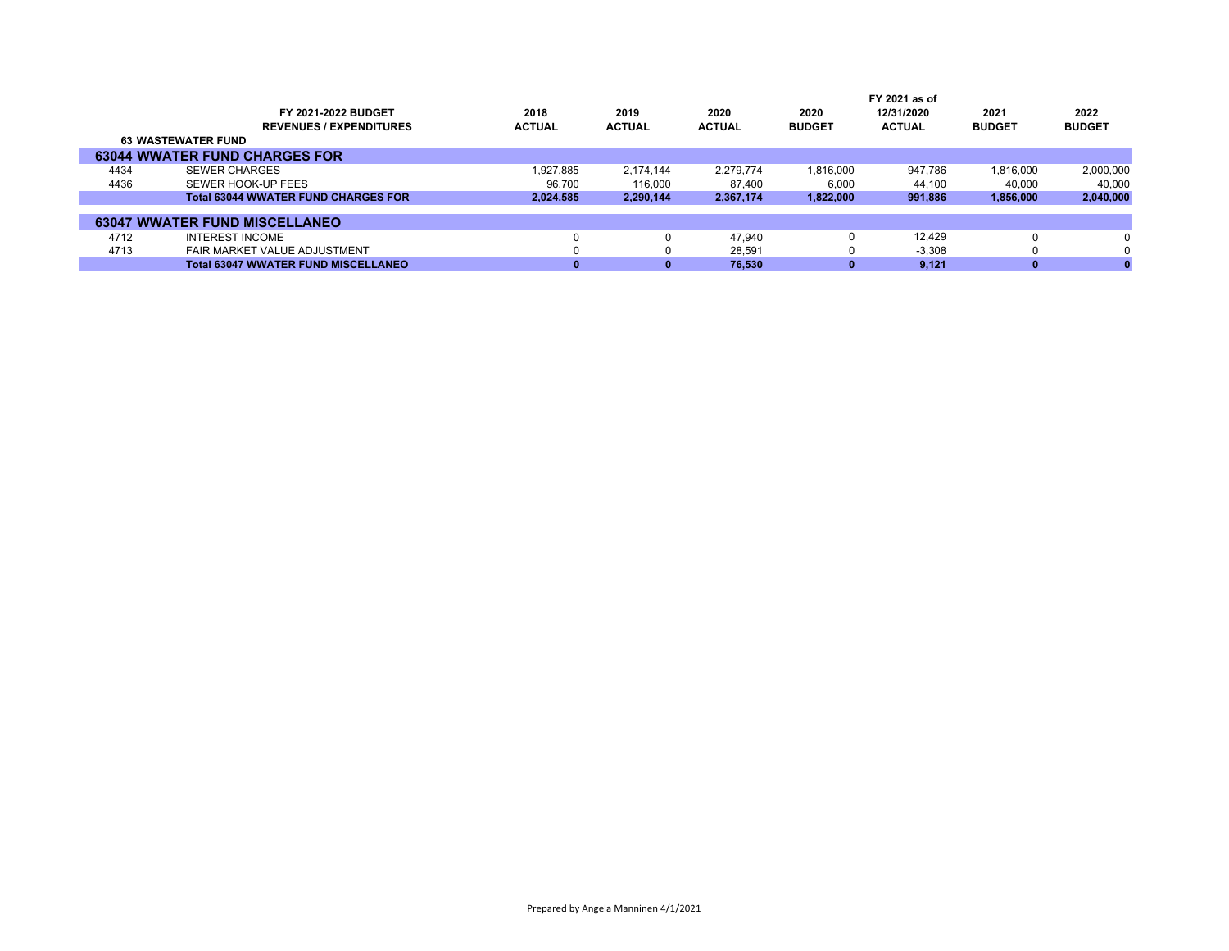|      |                                            |               |               |               | FY 2021 as of |               |               |               |  |
|------|--------------------------------------------|---------------|---------------|---------------|---------------|---------------|---------------|---------------|--|
|      | <b>FY 2021-2022 BUDGET</b>                 | 2018          | 2019          | 2020          | 2020          | 12/31/2020    | 2021          | 2022          |  |
|      | <b>REVENUES / EXPENDITURES</b>             | <b>ACTUAL</b> | <b>ACTUAL</b> | <b>ACTUAL</b> | <b>BUDGET</b> | <b>ACTUAL</b> | <b>BUDGET</b> | <b>BUDGET</b> |  |
|      | <b>63 WASTEWATER FUND</b>                  |               |               |               |               |               |               |               |  |
|      | <b>63044 WWATER FUND CHARGES FOR</b>       |               |               |               |               |               |               |               |  |
| 4434 | <b>SEWER CHARGES</b>                       | 1.927.885     | 2.174.144     | 2.279.774     | 1.816.000     | 947.786       | 1.816.000     | 2,000,000     |  |
| 4436 | SEWER HOOK-UP FEES                         | 96,700        | 116,000       | 87.400        | 6,000         | 44,100        | 40.000        | 40,000        |  |
|      | <b>Total 63044 WWATER FUND CHARGES FOR</b> | 2,024,585     | 2,290,144     | 2,367,174     | 1,822,000     | 991,886       | 1,856,000     | 2,040,000     |  |
|      |                                            |               |               |               |               |               |               |               |  |
|      | <b>63047 WWATER FUND MISCELLANEO</b>       |               |               |               |               |               |               |               |  |
| 4712 | <b>INTEREST INCOME</b>                     |               |               | 47.940        |               | 12.429        |               |               |  |
| 4713 | FAIR MARKET VALUE ADJUSTMENT               |               |               | 28,591        |               | $-3.308$      |               | 0             |  |
|      | <b>Total 63047 WWATER FUND MISCELLANEO</b> |               |               | 76.530        |               | 9.121         |               |               |  |
|      |                                            |               |               |               |               |               |               |               |  |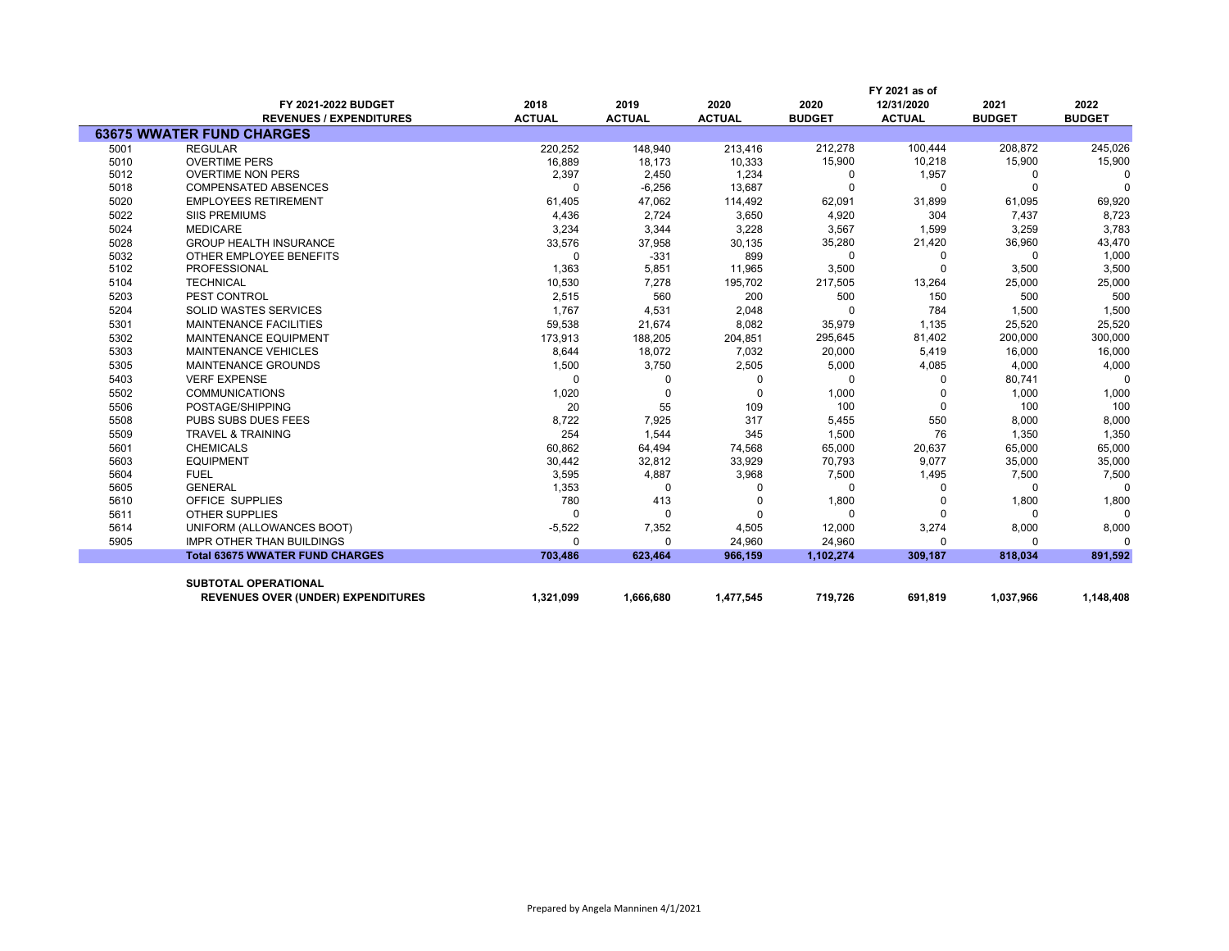|      |                                        |               |               |               | FY 2021 as of |               |               |               |  |
|------|----------------------------------------|---------------|---------------|---------------|---------------|---------------|---------------|---------------|--|
|      | FY 2021-2022 BUDGET                    | 2018          | 2019          | 2020          | 2020          | 12/31/2020    | 2021          | 2022          |  |
|      | <b>REVENUES / EXPENDITURES</b>         | <b>ACTUAL</b> | <b>ACTUAL</b> | <b>ACTUAL</b> | <b>BUDGET</b> | <b>ACTUAL</b> | <b>BUDGET</b> | <b>BUDGET</b> |  |
|      | <b>63675 WWATER FUND CHARGES</b>       |               |               |               |               |               |               |               |  |
| 5001 | <b>REGULAR</b>                         | 220,252       | 148,940       | 213,416       | 212,278       | 100,444       | 208,872       | 245,026       |  |
| 5010 | <b>OVERTIME PERS</b>                   | 16,889        | 18,173        | 10,333        | 15,900        | 10,218        | 15,900        | 15,900        |  |
| 5012 | <b>OVERTIME NON PERS</b>               | 2,397         | 2,450         | 1,234         | 0             | 1,957         | $\Omega$      | $\Omega$      |  |
| 5018 | <b>COMPENSATED ABSENCES</b>            | $\Omega$      | $-6,256$      | 13,687        | $\Omega$      | $\Omega$      |               | $\Omega$      |  |
| 5020 | <b>EMPLOYEES RETIREMENT</b>            | 61,405        | 47,062        | 114,492       | 62,091        | 31,899        | 61,095        | 69,920        |  |
| 5022 | <b>SIIS PREMIUMS</b>                   | 4,436         | 2,724         | 3,650         | 4,920         | 304           | 7,437         | 8,723         |  |
| 5024 | <b>MEDICARE</b>                        | 3,234         | 3,344         | 3,228         | 3,567         | 1,599         | 3,259         | 3,783         |  |
| 5028 | <b>GROUP HEALTH INSURANCE</b>          | 33,576        | 37,958        | 30,135        | 35,280        | 21,420        | 36,960        | 43,470        |  |
| 5032 | OTHER EMPLOYEE BENEFITS                | 0             | $-331$        | 899           | 0             | 0             | $\Omega$      | 1,000         |  |
| 5102 | <b>PROFESSIONAL</b>                    | 1,363         | 5,851         | 11,965        | 3,500         | $\Omega$      | 3,500         | 3,500         |  |
| 5104 | <b>TECHNICAL</b>                       | 10,530        | 7,278         | 195,702       | 217,505       | 13,264        | 25,000        | 25,000        |  |
| 5203 | PEST CONTROL                           | 2,515         | 560           | 200           | 500           | 150           | 500           | 500           |  |
| 5204 | <b>SOLID WASTES SERVICES</b>           | 1,767         | 4,531         | 2,048         | $\Omega$      | 784           | 1,500         | 1,500         |  |
| 5301 | <b>MAINTENANCE FACILITIES</b>          | 59,538        | 21,674        | 8,082         | 35,979        | 1,135         | 25,520        | 25,520        |  |
| 5302 | MAINTENANCE EQUIPMENT                  | 173,913       | 188,205       | 204,851       | 295,645       | 81,402        | 200,000       | 300,000       |  |
| 5303 | MAINTENANCE VEHICLES                   | 8,644         | 18,072        | 7,032         | 20,000        | 5,419         | 16,000        | 16,000        |  |
| 5305 | <b>MAINTENANCE GROUNDS</b>             | 1,500         | 3,750         | 2,505         | 5,000         | 4,085         | 4,000         | 4,000         |  |
| 5403 | <b>VERF EXPENSE</b>                    | $\Omega$      | 0             | 0             | 0             | $\Omega$      | 80,741        | $\Omega$      |  |
| 5502 | <b>COMMUNICATIONS</b>                  | 1,020         | 0             | $\mathbf 0$   | 1,000         |               | 1,000         | 1,000         |  |
| 5506 | POSTAGE/SHIPPING                       | 20            | 55            | 109           | 100           | $\Omega$      | 100           | 100           |  |
| 5508 | PUBS SUBS DUES FEES                    | 8,722         | 7,925         | 317           | 5,455         | 550           | 8,000         | 8,000         |  |
| 5509 | <b>TRAVEL &amp; TRAINING</b>           | 254           | 1,544         | 345           | 1,500         | 76            | 1,350         | 1,350         |  |
| 5601 | <b>CHEMICALS</b>                       | 60,862        | 64,494        | 74,568        | 65,000        | 20,637        | 65,000        | 65,000        |  |
| 5603 | <b>EQUIPMENT</b>                       | 30,442        | 32,812        | 33,929        | 70,793        | 9,077         | 35,000        | 35,000        |  |
| 5604 | <b>FUEL</b>                            | 3,595         | 4,887         | 3,968         | 7,500         | 1,495         | 7,500         | 7,500         |  |
| 5605 | <b>GENERAL</b>                         | 1,353         | O             | O             | $\Omega$      | $\Omega$      |               | $\Omega$      |  |
| 5610 | OFFICE SUPPLIES                        | 780           | 413           | $\Omega$      | 1,800         |               | 1,800         | 1,800         |  |
| 5611 | <b>OTHER SUPPLIES</b>                  | $\Omega$      | O             | O             | $\Omega$      | $\Omega$      |               | $\Omega$      |  |
| 5614 | UNIFORM (ALLOWANCES BOOT)              | $-5,522$      | 7,352         | 4,505         | 12,000        | 3,274         | 8,000         | 8,000         |  |
| 5905 | <b>IMPR OTHER THAN BUILDINGS</b>       | $\Omega$      | $\Omega$      | 24,960        | 24,960        | $\Omega$      |               |               |  |
|      | <b>Total 63675 WWATER FUND CHARGES</b> | 703.486       | 623.464       | 966.159       | 1,102,274     | 309,187       | 818,034       | 891.592       |  |
|      |                                        |               |               |               |               |               |               |               |  |
|      | <b>SUBTOTAL OPERATIONAL</b>            |               |               |               |               |               |               |               |  |
|      | REVENUES OVER (UNDER) EXPENDITURES     | 1,321,099     | 1,666,680     | 1,477,545     | 719,726       | 691,819       | 1,037,966     | 1,148,408     |  |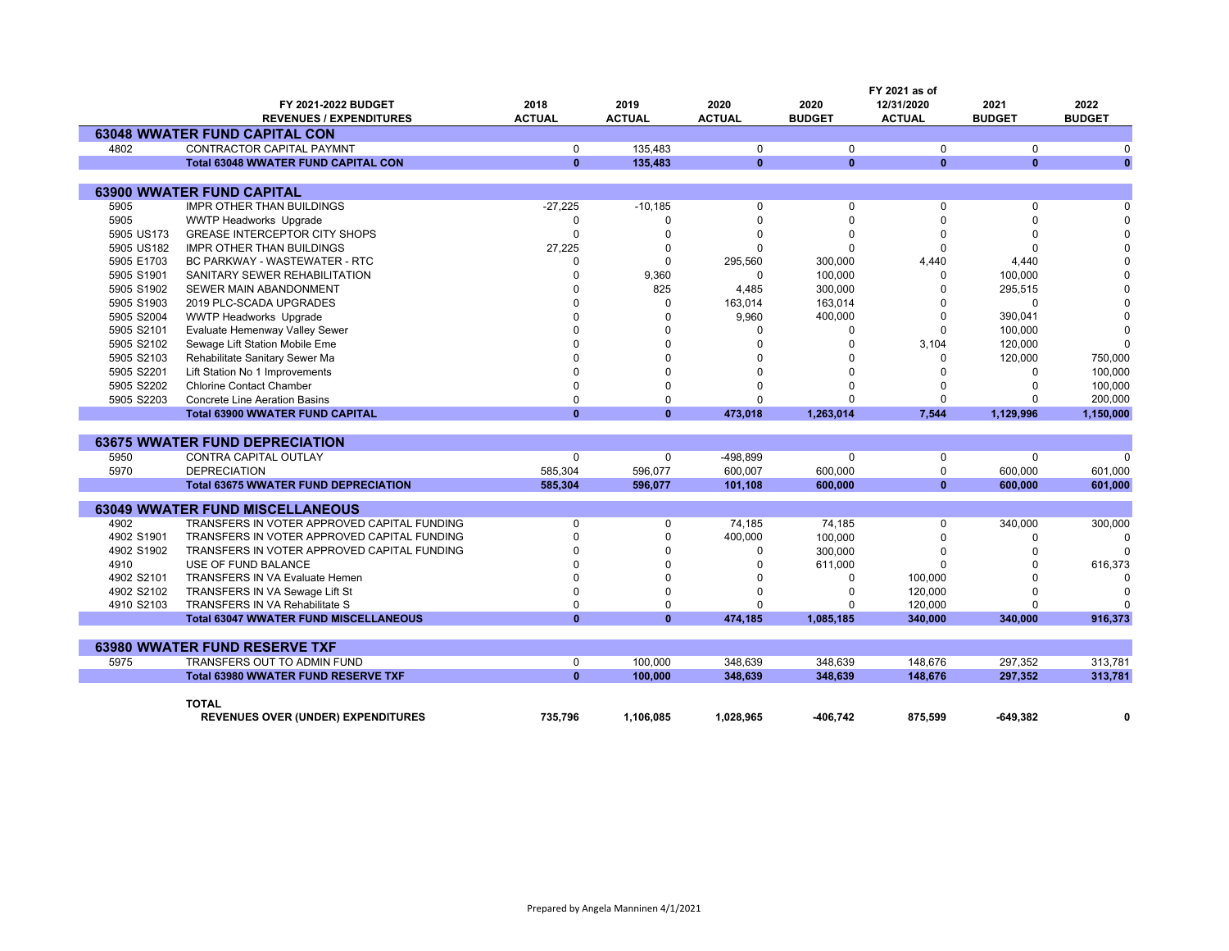|            |                                              |               |               |               |               | FY 2021 as of |               |               |
|------------|----------------------------------------------|---------------|---------------|---------------|---------------|---------------|---------------|---------------|
|            | FY 2021-2022 BUDGET                          | 2018          | 2019          | 2020          | 2020          | 12/31/2020    | 2021          | 2022          |
|            | <b>REVENUES / EXPENDITURES</b>               | <b>ACTUAL</b> | <b>ACTUAL</b> | <b>ACTUAL</b> | <b>BUDGET</b> | <b>ACTUAL</b> | <b>BUDGET</b> | <b>BUDGET</b> |
|            | <b>63048 WWATER FUND CAPITAL CON</b>         |               |               |               |               |               |               |               |
| 4802       | <b>CONTRACTOR CAPITAL PAYMNT</b>             | $\mathbf 0$   | 135.483       | $\mathbf 0$   | $\mathbf{0}$  | $\mathbf 0$   | $\Omega$      | $\Omega$      |
|            | <b>Total 63048 WWATER FUND CAPITAL CON</b>   | $\mathbf{0}$  | 135,483       | $\mathbf{0}$  | $\mathbf{0}$  | $\mathbf{0}$  | $\mathbf{0}$  | $\mathbf{0}$  |
|            |                                              |               |               |               |               |               |               |               |
|            | <b>63900 WWATER FUND CAPITAL</b>             |               |               |               |               |               |               |               |
| 5905       | <b>IMPR OTHER THAN BUILDINGS</b>             | $-27,225$     | $-10,185$     | 0             | $\mathbf 0$   | 0             | 0             |               |
| 5905       | <b>WWTP Headworks Upgrade</b>                | 0             | $\Omega$      | 0             | $\Omega$      | $\Omega$      | $\Omega$      | $\Omega$      |
| 5905 US173 | <b>GREASE INTERCEPTOR CITY SHOPS</b>         | $\Omega$      | $\Omega$      | $\Omega$      | $\Omega$      | $\Omega$      |               | $\Omega$      |
| 5905 US182 | <b>IMPR OTHER THAN BUILDINGS</b>             | 27,225        | $\Omega$      | $\Omega$      | $\Omega$      | $\Omega$      | $\Omega$      | $\Omega$      |
| 5905 E1703 | <b>BC PARKWAY - WASTEWATER - RTC</b>         | $\Omega$      | $\Omega$      | 295,560       | 300,000       | 4,440         | 4,440         |               |
| 5905 S1901 | SANITARY SEWER REHABILITATION                | $\Omega$      | 9,360         | 0             | 100,000       | 0             | 100,000       |               |
| 5905 S1902 | SEWER MAIN ABANDONMENT                       | n             | 825           | 4,485         | 300,000       | $\Omega$      | 295,515       |               |
| 5905 S1903 | 2019 PLC-SCADA UPGRADES                      |               | $\Omega$      | 163,014       | 163,014       | $\Omega$      | $\Omega$      |               |
| 5905 S2004 | <b>WWTP Headworks Upgrade</b>                |               | $\Omega$      | 9,960         | 400,000       | $\Omega$      | 390,041       | $\Omega$      |
| 5905 S2101 | Evaluate Hemenway Valley Sewer               |               | $\Omega$      | $\Omega$      | 0             | $\Omega$      | 100,000       | $\mathbf 0$   |
| 5905 S2102 | Sewage Lift Station Mobile Eme               |               | $\Omega$      |               | <sup>0</sup>  | 3.104         | 120.000       | $\Omega$      |
| 5905 S2103 | Rehabilitate Sanitary Sewer Ma               |               | $\Omega$      |               | O             | $\Omega$      | 120,000       | 750,000       |
| 5905 S2201 | Lift Station No 1 Improvements               |               | $\Omega$      |               | U             | O             | U             | 100,000       |
| 5905 S2202 | <b>Chlorine Contact Chamber</b>              |               | $\Omega$      |               | $\Omega$      |               |               | 100,000       |
| 5905 S2203 | <b>Concrete Line Aeration Basins</b>         | $\Omega$      | $\Omega$      | U             | $\Omega$      | $\Omega$      |               | 200,000       |
|            | <b>Total 63900 WWATER FUND CAPITAL</b>       | $\mathbf{0}$  | $\mathbf{0}$  | 473,018       | 1,263,014     | 7,544         | 1,129,996     | 1,150,000     |
|            |                                              |               |               |               |               |               |               |               |
|            | <b>63675 WWATER FUND DEPRECIATION</b>        |               |               |               |               |               |               |               |
| 5950       | CONTRA CAPITAL OUTLAY                        | 0             | $\Omega$      | -498,899      | $\Omega$      | 0             | $\Omega$      | $\Omega$      |
| 5970       | <b>DEPRECIATION</b>                          | 585,304       | 596,077       | 600,007       | 600,000       | 0             | 600,000       | 601,000       |
|            | <b>Total 63675 WWATER FUND DEPRECIATION</b>  | 585,304       | 596,077       | 101,108       | 600,000       | $\mathbf{0}$  | 600,000       | 601.000       |
|            |                                              |               |               |               |               |               |               |               |
|            | <b>63049 WWATER FUND MISCELLANEOUS</b>       |               |               |               |               |               |               |               |
| 4902       | TRANSFERS IN VOTER APPROVED CAPITAL FUNDING  | $\Omega$      | 0             | 74,185        | 74,185        | 0             | 340,000       | 300,000       |
| 4902 S1901 | TRANSFERS IN VOTER APPROVED CAPITAL FUNDING  | $\Omega$      | $\Omega$      | 400,000       | 100,000       | $\Omega$      | 0             | $\Omega$      |
| 4902 S1902 | TRANSFERS IN VOTER APPROVED CAPITAL FUNDING  |               | $\Omega$      | 0             | 300,000       | $\Omega$      | $\Omega$      |               |
| 4910       | USE OF FUND BALANCE                          |               | $\Omega$      | $\Omega$      | 611,000       | $\Omega$      | $\Omega$      | 616,373       |
| 4902 S2101 | <b>TRANSFERS IN VA Evaluate Hemen</b>        | $\Omega$      | $\Omega$      | $\Omega$      | $\Omega$      | 100,000       |               |               |
| 4902 S2102 | TRANSFERS IN VA Sewage Lift St               |               | $\Omega$      |               | 0             | 120,000       |               | $\Omega$      |
| 4910 S2103 | TRANSFERS IN VA Rehabilitate S               | $\Omega$      | $\Omega$      | 0             | <sup>0</sup>  | 120,000       | U             | $\Omega$      |
|            | <b>Total 63047 WWATER FUND MISCELLANEOUS</b> | $\mathbf{0}$  | $\mathbf{0}$  | 474,185       | 1,085,185     | 340,000       | 340,000       | 916,373       |
|            |                                              |               |               |               |               |               |               |               |
|            | <b>63980 WWATER FUND RESERVE TXF</b>         |               |               |               |               |               |               |               |
| 5975       | TRANSFERS OUT TO ADMIN FUND                  | $\mathbf 0$   | 100,000       | 348,639       | 348,639       | 148,676       | 297,352       | 313,781       |
|            | <b>Total 63980 WWATER FUND RESERVE TXF</b>   | $\mathbf{0}$  | 100,000       | 348,639       | 348,639       | 148,676       | 297,352       | 313,781       |
|            |                                              |               |               |               |               |               |               |               |
|            | <b>TOTAL</b>                                 |               |               |               |               |               |               |               |
|            | <b>REVENUES OVER (UNDER) EXPENDITURES</b>    | 735.796       | 1.106.085     | 1,028,965     | -406.742      | 875.599       | $-649.382$    | 0             |
|            |                                              |               |               |               |               |               |               |               |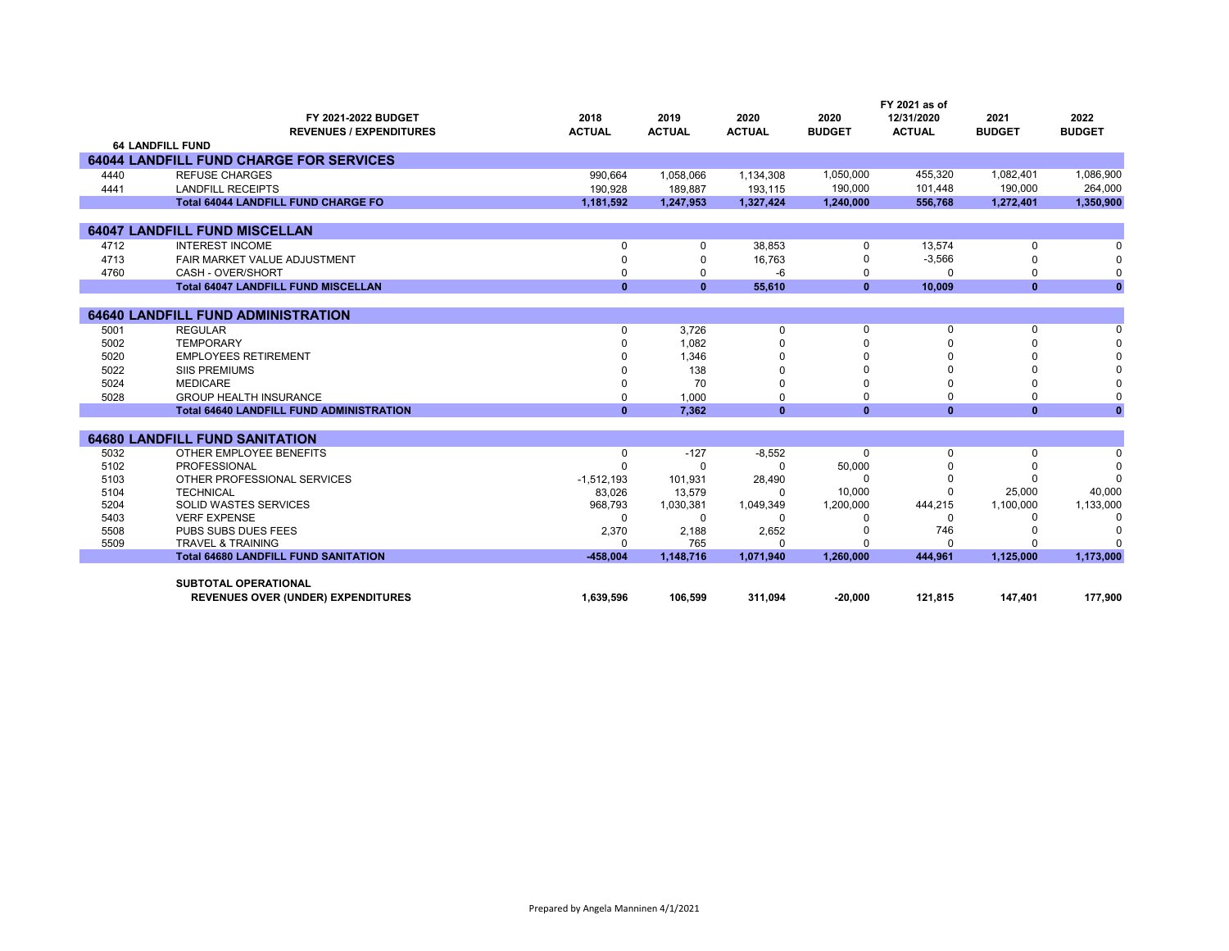|              | FY 2021-2022 BUDGET<br><b>REVENUES / EXPENDITURES</b> | 2018<br><b>ACTUAL</b> | 2019<br><b>ACTUAL</b> | 2020<br><b>ACTUAL</b> | 2020<br><b>BUDGET</b> | FY 2021 as of<br>12/31/2020<br><b>ACTUAL</b> | 2021<br><b>BUDGET</b> | 2022<br><b>BUDGET</b> |
|--------------|-------------------------------------------------------|-----------------------|-----------------------|-----------------------|-----------------------|----------------------------------------------|-----------------------|-----------------------|
|              | <b>64 LANDFILL FUND</b>                               |                       |                       |                       |                       |                                              |                       |                       |
|              | <b>64044 LANDFILL FUND CHARGE FOR SERVICES</b>        |                       |                       |                       |                       |                                              |                       |                       |
| 4440         | <b>REFUSE CHARGES</b>                                 | 990,664               | 1,058,066             | 1,134,308             | 1,050,000             | 455.320                                      | 1.082.401             | 1,086,900             |
| 4441         | <b>LANDFILL RECEIPTS</b>                              | 190.928               | 189.887               | 193,115               | 190,000               | 101,448                                      | 190,000               | 264,000               |
|              | <b>Total 64044 LANDFILL FUND CHARGE FO</b>            | 1,181,592             | 1,247,953             | 1,327,424             | 1,240,000             | 556,768                                      | 1,272,401             | 1,350,900             |
|              |                                                       |                       |                       |                       |                       |                                              |                       |                       |
|              | <b>64047 LANDFILL FUND MISCELLAN</b>                  |                       |                       |                       |                       |                                              |                       |                       |
| 4712         | <b>INTEREST INCOME</b>                                | $\Omega$              | $\Omega$              | 38,853                | 0                     | 13,574                                       | 0                     | $\Omega$              |
| 4713         | FAIR MARKET VALUE ADJUSTMENT                          | $\Omega$              | $\Omega$              | 16,763                | 0                     | $-3,566$                                     | $\Omega$              | $\Omega$              |
| 4760         | CASH - OVER/SHORT                                     | $\Omega$              | 0                     | -6                    | 0                     | $\Omega$                                     | 0                     | 0                     |
|              | <b>Total 64047 LANDFILL FUND MISCELLAN</b>            | $\bf{0}$              | $\mathbf{0}$          | 55,610                | $\mathbf{0}$          | 10,009                                       | $\mathbf{0}$          | $\mathbf{0}$          |
|              | <b>64640 LANDFILL FUND ADMINISTRATION</b>             |                       |                       |                       |                       |                                              |                       |                       |
| 5001         | <b>REGULAR</b>                                        | $\Omega$              | 3.726                 | $\mathbf 0$           | $\mathbf 0$           | $\mathbf 0$                                  | $\Omega$              | $\Omega$              |
| 5002         | <b>TEMPORARY</b>                                      |                       | 1,082                 |                       |                       |                                              |                       |                       |
| 5020         | <b>EMPLOYEES RETIREMENT</b>                           |                       | 1,346                 |                       |                       |                                              |                       |                       |
| 5022         | <b>SIIS PREMIUMS</b>                                  |                       | 138                   |                       |                       |                                              |                       |                       |
| 5024         | <b>MEDICARE</b>                                       | n                     | 70                    | $\Omega$              |                       |                                              |                       | $\Omega$              |
| 5028         | <b>GROUP HEALTH INSURANCE</b>                         | $\Omega$              | 1.000                 | $\Omega$              | 0                     | $\Omega$                                     | $\Omega$              | 0                     |
|              | <b>Total 64640 LANDFILL FUND ADMINISTRATION</b>       | $\mathbf{0}$          | 7.362                 | $\mathbf{0}$          | $\mathbf{0}$          | $\mathbf{0}$                                 | $\mathbf{0}$          | $\mathbf{0}$          |
|              |                                                       |                       |                       |                       |                       |                                              |                       |                       |
|              | <b>64680 LANDFILL FUND SANITATION</b>                 |                       |                       |                       |                       |                                              |                       |                       |
| 5032         | OTHER EMPLOYEE BENEFITS                               | 0                     | $-127$                | $-8,552$              | $\Omega$              | $\mathbf 0$                                  | $\mathbf 0$           | $\Omega$              |
| 5102         | PROFESSIONAL                                          | $\Omega$              | $\Omega$              | $\Omega$              | 50,000                |                                              |                       | $\Omega$              |
| 5103         | OTHER PROFESSIONAL SERVICES                           | $-1,512,193$          | 101,931               | 28,490                | $\Omega$              |                                              |                       | $\Omega$              |
| 5104         | <b>TECHNICAL</b>                                      | 83,026                | 13,579                | $\Omega$              | 10,000                |                                              | 25,000                | 40,000                |
| 5204         | <b>SOLID WASTES SERVICES</b>                          | 968.793               | 1,030,381             | 1,049,349             | 1,200,000             | 444,215                                      | 1,100,000             | 1,133,000             |
| 5403<br>5508 | <b>VERF EXPENSE</b><br>PUBS SUBS DUES FEES            | $\Omega$<br>2,370     | $\Omega$<br>2,188     | $\Omega$<br>2,652     |                       | $\Omega$<br>746                              | <sup>0</sup>          | $\Omega$<br>0         |
| 5509         | <b>TRAVEL &amp; TRAINING</b>                          | $\Omega$              | 765                   | $\Omega$              |                       | $\Omega$                                     |                       | $\Omega$              |
|              | <b>Total 64680 LANDFILL FUND SANITATION</b>           | $-458.004$            | 1,148,716             | 1,071,940             | 1,260,000             | 444,961                                      | 1,125,000             | 1,173,000             |
|              |                                                       |                       |                       |                       |                       |                                              |                       |                       |
|              | <b>SUBTOTAL OPERATIONAL</b>                           |                       |                       |                       |                       |                                              |                       |                       |
|              | <b>REVENUES OVER (UNDER) EXPENDITURES</b>             | 1.639.596             | 106.599               | 311,094               | $-20,000$             | 121,815                                      | 147,401               | 177,900               |